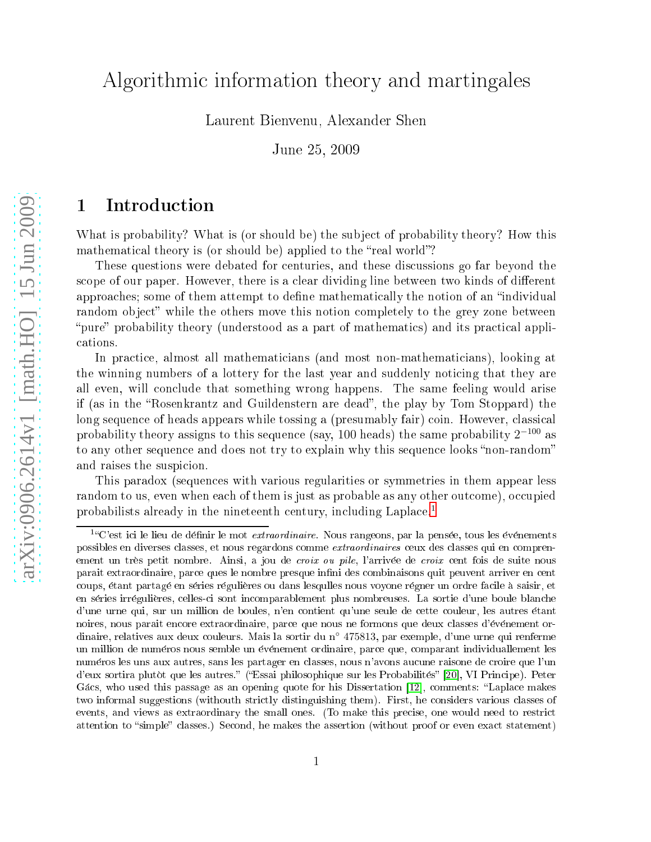# Algorithmic information theory and martingales

Laurent Bienvenu, Alexander Shen

June 25, 2009

## 1 Introdu
tion

What is probability? What is (or should be) the subje
t of probability theory? How this mathematical theory is (or should be) applied to the "real world"?

These questions were debated for centuries, and these discussions go far beyond the scope of our paper. However, there is a clear dividing line between two kinds of different approaches; some of them attempt to define mathematically the notion of an "individual random object" while the others move this notion completely to the grey zone between "pure" probability theory (understood as a part of mathematics) and its practical appliations.

In practice, almost all mathematicians (and most non-mathematicians), looking at the winning numbers of a lottery for the last year and suddenly noti
ing that they are all even, will on
lude that something wrong happens. The same feeling would arise if (as in the "Rosenkrantz and Guildenstern are dead", the play by Tom Stoppard) the long sequence of heads appears while tossing a (presumably fair) coin. However, classical probability theory assigns to this sequence (say, 100 heads) the same probability  $2^{-100}$  as to any other sequence and does not try to explain why this sequence looks "non-random" and raises the suspicion.

This paradox (sequen
es with various regularities or symmetries in them appear less random to us, even when each of them is just as probable as any other outcome), occupied probabilists already in the nineteenth century, including Laplace.<sup>1</sup>

<span id="page-0-0"></span><sup>&</sup>lt;sup>1</sup>"C'est ici le lieu de définir le mot *extraordinaire*. Nous rangeons, par la pensée, tous les événements possibles en diverses lasses, et nous regardons omme extraordinaires eux des lasses qui en omprenement un très petit nombre. Ainsi, a jou de *croix ou pile*, l'arrivée de *croix* cent fois de suite nous parait extraordinaire, parce ques le nombre presque infini des combinaisons quit peuvent arriver en cent oups, etant partage en series regulieres ou dans lesqulles nous voyone regner un ordre fa
ile a saisir, et en séries irrégulières, celles-ci sont incomparablement plus nombreuses. La sortie d'une boule blanche d'une urne qui, sur un million de boules, n'en ontient qu'une seule de ette ouleur, les autres etant noires, nous parait en
ore extraordinaire, par
e que nous ne formons que deux lasses d'evenement ordinaire, relatives aux deux ouleurs. Mais la sortir du <sup>n</sup>◦ 475813, par exemple, d'une urne qui renferme un million de numéros nous semble un événement ordinaire, parce que, comparant individuallement les numéros les uns aux autres, sans les partager en classes, nous n'avons aucune raisone de croire que l'un d'eux sortira plutòt que les autres." ("Essai philosophique sur les Probabilités" [20], VI Principe). Peter Gács, who used this passage as an opening quote for his Dissertation [12], comments: "Laplace makes" two informal suggestions (withouth strictly distinguishing them). First, he considers various classes of events, and views as extraordinary the small ones. (To make this precise, one would need to restrict attention to "simple" classes.) Second, he makes the assertion (without proof or even exact statement)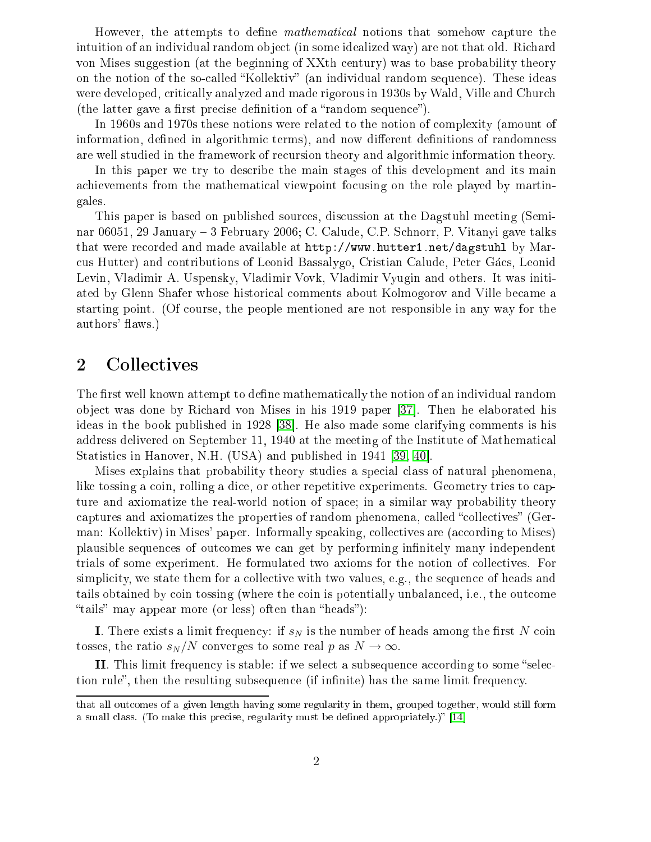However, the attempts to define *mathematical* notions that somehow capture the intuition of an individual random object (in some idealized way) are not that old. Richard von Mises suggestion (at the beginning of XXth entury) was to base probability theory on the notion of the so-called "Kollektiv" (an individual random sequence). These ideas were developed, critically analyzed and made rigorous in 1930s by Wald, Ville and Church (the latter gave a first precise definition of a "random sequence").

In 1960s and 1970s these notions were related to the notion of complexity (amount of information, defined in algorithmic terms), and now different definitions of randomness are well studied in the framework of recursion theory and algorithmic information theory.

In this paper we try to describe the main stages of this development and its main achievements from the mathematical viewpoint focusing on the role played by martingales.

This paper is based on published sour
es, dis
ussion at the Dagstuhl meeting (Seminar 06051, 29 January 3 February 2006; C. Calude, C.P. S
hnorr, P. Vitanyi gave talks that were re
orded and made available at http://www.hutter1.net/dagstuhl by Mar cus Hutter) and contributions of Leonid Bassalygo, Cristian Calude, Peter Gács, Leonid Levin, Vladimir A. Uspensky, Vladimir Vovk, Vladimir Vyugin and others. It was initiated by Glenn Shafer whose histori
al omments about Kolmogorov and Ville be
ame a starting point. (Of ourse, the people mentioned are not responsible in any way for the authors' flaws.)

## 2 Collectives

The first well known attempt to define mathematically the notion of an individual random object was done by Richard von Mises in his 1919 paper [37]. Then he elaborated his ideas in the book published in 1928 [38]. He also made some clarifying comments is his address delivered on September 11, 1940 at the meeting of the Institute of Mathemati
al Statistics in Hanover, N.H. (USA) and published in 1941 [\[39,](#page-33-2) 40].

Mises explains that probability theory studies a special class of natural phenomena, like tossing a coin, rolling a dice, or other repetitive experiments. Geometry tries to capture and axiomatize the real-world notion of spa
e; in a similar way probability theory captures and axiomatizes the properties of random phenomena, called "collectives" (German: Kollektiv) in Mises' paper. Informally speaking, collectives are (according to Mises) plausible sequences of outcomes we can get by performing infinitely many independent trials of some experiment. He formulated two axioms for the notion of collectives. For simplicity, we state them for a collective with two values, e.g., the sequence of heads and tails obtained by coin tossing (where the coin is potentially unbalanced, i.e., the outcome "tails" may appear more (or less) often than "heads"):

I. There exists a limit frequency: if  $s_N$  is the number of heads among the first N coin tosses, the ratio  $s_N/N$  converges to some real p as  $N \to \infty$ .

II. This limit frequency is stable: if we select a subsequence according to some "selection rule", then the resulting subsequence (if infinite) has the same limit frequency.

that all outcomes of a given length having some regularity in them, grouped together, would still form a small class. (To make this precise, regularity must be defined appropriately.)" [14]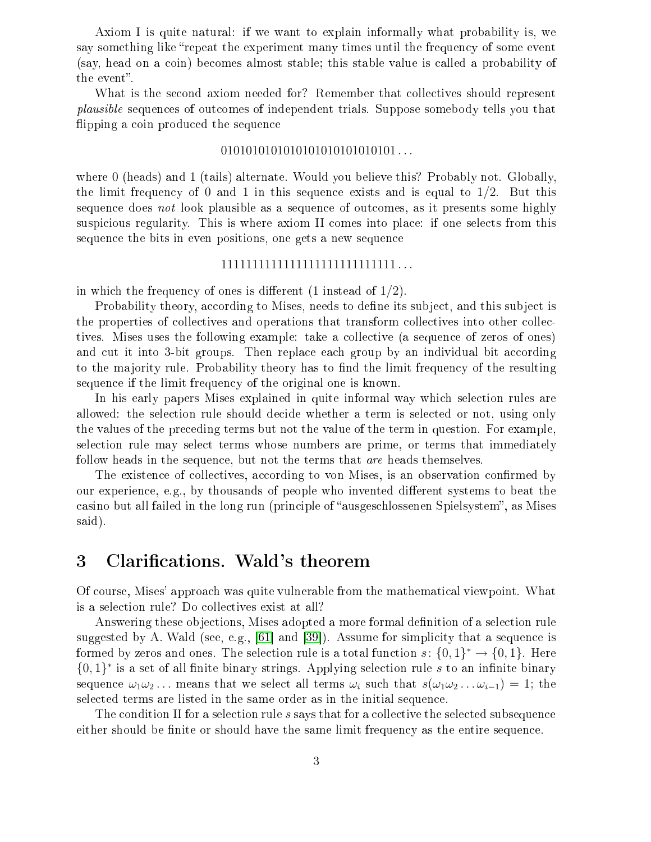Axiom I is quite natural: if we want to explain informally what probability is, we say something like "repeat the experiment many times until the frequency of some event (say, head on a oin) be
omes almost stable; this stable value is alled a probability of the event".

What is the second axiom needed for? Remember that collectives should represent plausible sequen
es of out
omes of independent trials. Suppose somebody tells you that flipping a coin produced the sequence

#### 0101010101010101010101010101 . . .

where 0 (heads) and 1 (tails) alternate. Would you believe this? Probably not. Globally, the limit frequency of 0 and 1 in this sequence exists and is equal to  $1/2$ . But this sequence does *not* look plausible as a sequence of outcomes, as it presents some highly suspicious regularity. This is where axiom II comes into place: if one selects from this sequence the bits in even positions, one gets a new sequence

#### 1111111111111111111111111111 . . .

in which the frequency of ones is different  $(1 \text{ instead of } 1/2)$ .

Probability theory, according to Mises, needs to define its subject, and this subject is the properties of collectives and operations that transform collectives into other collectives. Mises uses the following example: take a olle
tive (a sequen
e of zeros of ones) and cut it into 3-bit groups. Then replace each group by an individual bit according to the majority rule. Probability theory has to find the limit frequency of the resulting sequence if the limit frequency of the original one is known.

In his early papers Mises explained in quite informal way which selection rules are allowed: the selection rule should decide whether a term is selected or not, using only the values of the pre
eding terms but not the value of the term in question. For example, selection rule may select terms whose numbers are prime, or terms that immediately follow heads in the sequen
e, but not the terms that are heads themselves.

The existence of collectives, according to von Mises, is an observation confirmed by our experience, e.g., by thousands of people who invented different systems to beat the casino but all failed in the long run (principle of "ausgeschlossenen Spielsystem", as Mises said).

## 3 Clarifications. Wald's theorem

Of ourse, Mises' approa
h was quite vulnerable from the mathemati
al viewpoint. What is a sele
tion rule? Do olle
tives exist at all?

Answering these objections, Mises adopted a more formal definition of a selection rule suggested by A. Wald (see, e.g., [61] and [39]). Assume for simplicity that a sequence is formed by zeros and ones. The selection rule is a total function  $s: \{0,1\}^* \to \{0,1\}$ . Here  $\{0,1\}^*$  is a set of all finite binary strings. Applying selection rule s to an infinite binary sequence  $\omega_1\omega_2\ldots$  means that we select all terms  $\omega_i$  such that  $s(\omega_1\omega_2\ldots\omega_{i-1})=1$ ; the sele
ted terms are listed in the same order as in the initial sequen
e.

The condition II for a selection rule s says that for a collective the selected subsequence either should be finite or should have the same limit frequency as the entire sequence.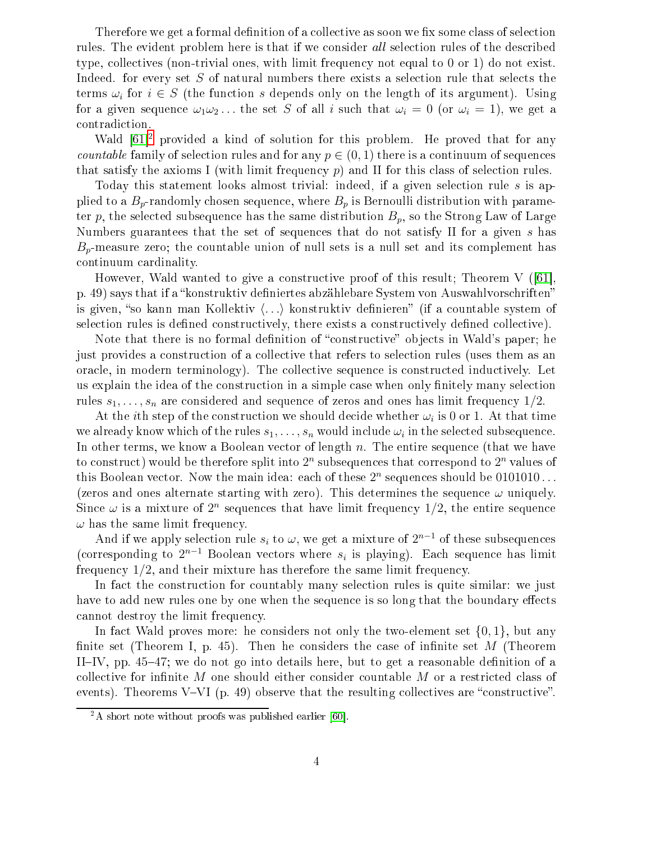Therefore we get a formal definition of a collective as soon we fix some class of selection rules. The evident problem here is that if we consider all selection rules of the described type, collectives (non-trivial ones, with limit frequency not equal to 0 or 1) do not exist. Indeed. for every set  $S$  of natural numbers there exists a selection rule that selects the terms  $\omega_i$  for  $i \in S$  (the function s depends only on the length of its argument). Using for a given sequence  $\omega_1\omega_2...$  the set S of all i such that  $\omega_i = 0$  (or  $\omega_i = 1$ ), we get a ontradi
tion.

Wald [\[61℄](#page-35-0) [2](#page-3-0) provided a kind of solution for this problem. He proved that for any *countable* family of selection rules and for any  $p \in (0, 1)$  there is a continuum of sequences that satisfy the axioms I (with limit frequency  $p$ ) and II for this class of selection rules.

Today this statement looks almost trivial: indeed, if a given selection rule s is applied to a  $B_p$ -randomly chosen sequence, where  $B_p$  is Bernoulli distribution with parameter p, the selected subsequence has the same distribution  $B_p$ , so the Strong Law of Large Numbers guarantees that the set of sequences that do not satisfy II for a given s has  $B_p$ -measure zero; the countable union of null sets is a null set and its complement has ontinuum ardinality.

However, Wald wanted to give a constructive proof of this result; Theorem V  $(|61|,$ p. 49) says that if a "konstruktiv definiertes abzählebare System von Auswahlvorschriften" is given, "so kann man Kollektiv  $\langle \ldots \rangle$  konstruktiv definieren" (if a countable system of selection rules is defined constructively, there exists a constructively defined collective).

Note that there is no formal definition of "constructive" objects in Wald's paper; he just provides a onstru
tion of a olle
tive that refers to sele
tion rules (uses them as an oracle, in modern terminology). The collective sequence is constructed inductively. Let us explain the idea of the construction in a simple case when only finitely many selection rules  $s_1, \ldots, s_n$  are considered and sequence of zeros and ones has limit frequency  $1/2$ .

At the *i*th step of the construction we should decide whether  $\omega_i$  is 0 or 1. At that time we already know which of the rules  $s_1, \ldots, s_n$  would include  $\omega_i$  in the selected subsequence. In other terms, we know a Boolean vector of length n. The entire sequence (that we have to construct) would be therefore split into  $2^n$  subsequences that correspond to  $2^n$  values of this Boolean vector. Now the main idea: each of these  $2^n$  sequences should be  $0101010...$ (zeros and ones alternate starting with zero). This determines the sequence  $\omega$  uniquely. Since  $\omega$  is a mixture of  $2^n$  sequences that have limit frequency  $1/2$ , the entire sequence  $\omega$  has the same limit frequency.

And if we apply selection rule  $s_i$  to  $\omega$ , we get a mixture of  $2^{n-1}$  of these subsequences (corresponding to  $2^{n-1}$  Boolean vectors where  $s_i$  is playing). Each sequence has limit frequency  $1/2$ , and their mixture has therefore the same limit frequency.

In fact the construction for countably many selection rules is quite similar: we just have to add new rules one by one when the sequence is so long that the boundary effects annot destroy the limit frequen
y.

In fact Wald proves more: he considers not only the two-element set  $\{0, 1\}$ , but any finite set (Theorem I, p. 45). Then he considers the case of infinite set  $M$  (Theorem II-IV, pp.  $45-47$ ; we do not go into details here, but to get a reasonable definition of a collective for infinite M one should either consider countable M or a restricted class of events). Theorems V–VI (p. 49) observe that the resulting collectives are "constructive".

<span id="page-3-0"></span><sup>&</sup>lt;sup>2</sup>A short note without proofs was published earlier  $[60]$ .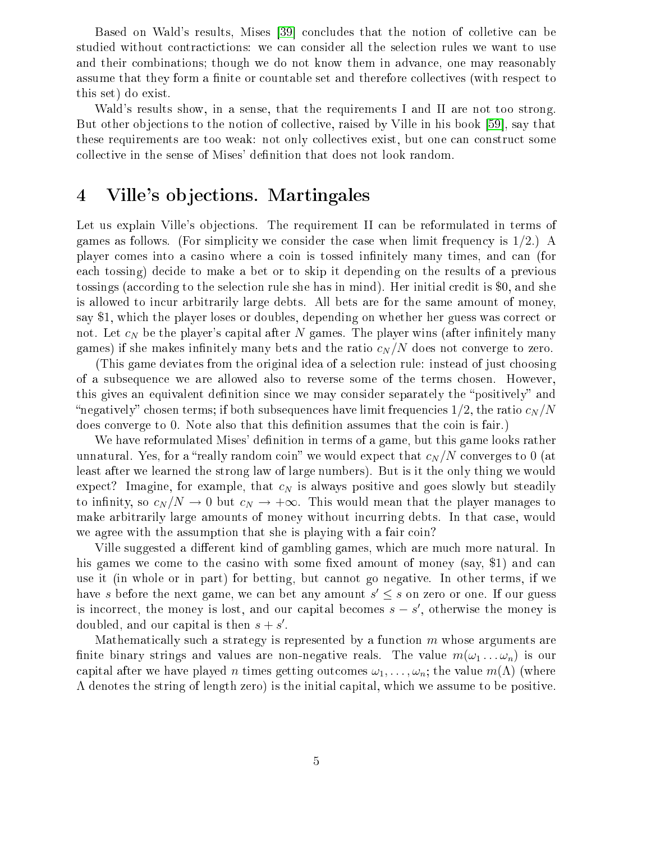Based on Wald's results, Mises [39] concludes that the notion of colletive can be studied without contracticitions: we can consider all the selection rules we want to use and their ombinations; though we do not know them in advan
e, one may reasonably assume that they form a finite or countable set and therefore collectives (with respect to this set) do exist.

Wald's results show, in a sense, that the requirements I and II are not too strong. But other objections to the notion of collective, raised by Ville in his book [59], say that these requirements are too weak: not only olle
tives exist, but one an onstru
t some collective in the sense of Mises' definition that does not look random.

# <span id="page-4-0"></span>4 Ville's objections. Martingales

Let us explain Ville's objections. The requirement II can be reformulated in terms of games as follows. (For simplicity we consider the case when limit frequency is  $1/2$ .) A player comes into a casino where a coin is tossed infinitely many times, and can (for each tossing) decide to make a bet or to skip it depending on the results of a previous tossings (according to the selection rule she has in mind). Her initial credit is \$0, and she is allowed to in
ur arbitrarily large debts. All bets are for the same amount of money, say \$1, which the player loses or doubles, depending on whether her guess was correct or not. Let  $c_N$  be the player's capital after N games. The player wins (after infinitely many games) if she makes infinitely many bets and the ratio  $c_N/N$  does not converge to zero.

(This game deviates from the original idea of a sele
tion rule: instead of just hoosing of a subsequen
e we are allowed also to reverse some of the terms hosen. However, this gives an equivalent definition since we may consider separately the "positively" and "negatively" chosen terms; if both subsequences have limit frequencies  $1/2$ , the ratio  $c_N/N$ does converge to 0. Note also that this definition assumes that the coin is fair.)

We have reformulated Mises' definition in terms of a game, but this game looks rather unnatural. Yes, for a "really random coin" we would expect that  $c_N/N$  converges to 0 (at least after we learned the strong law of large numbers). But is it the only thing we would expect? Imagine, for example, that  $c_N$  is always positive and goes slowly but steadily to infinity, so  $c_N / N \to 0$  but  $c_N \to +\infty$ . This would mean that the player manages to make arbitrarily large amounts of money without incurring debts. In that case, would we agree with the assumption that she is playing with a fair coin?

Ville suggested a different kind of gambling games, which are much more natural. In his games we come to the casino with some fixed amount of money (say, \$1) and can use it (in whole or in part) for betting, but annot go negative. In other terms, if we have s before the next game, we can bet any amount  $s' \leq s$  on zero or one. If our guess is incorrect, the money is lost, and our capital becomes  $s - s'$ , otherwise the money is doubled, and our capital is then  $s + s'$ .

Mathematically such a strategy is represented by a function  $m$  whose arguments are finite binary strings and values are non-negative reals. The value  $m(\omega_1 \dots \omega_n)$  is our capital after we have played n times getting outcomes  $\omega_1, \ldots, \omega_n$ ; the value  $m(\Lambda)$  (where  $\Lambda$  denotes the string of length zero) is the initial capital, which we assume to be positive.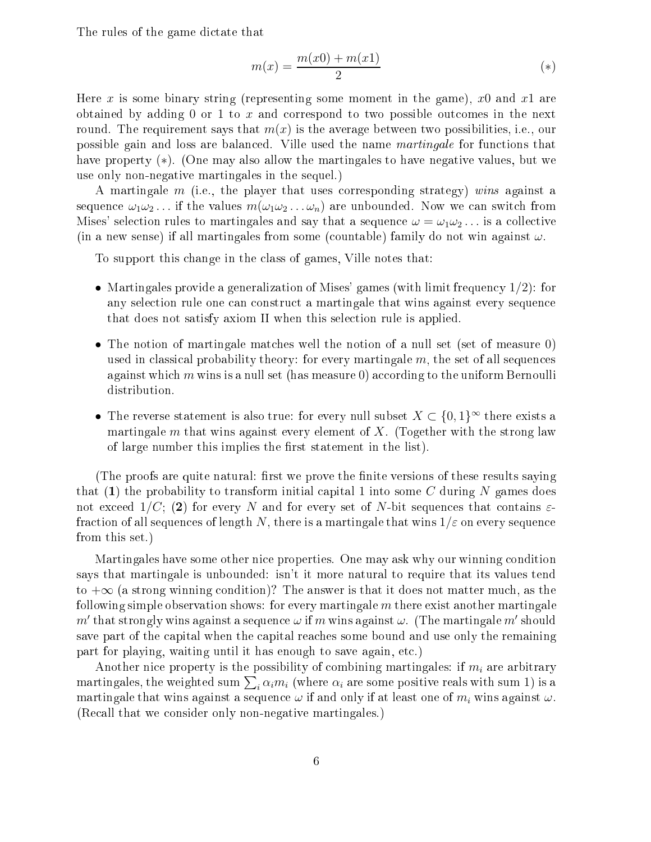The rules of the game dictate that

$$
m(x) = \frac{m(x0) + m(x1)}{2}
$$
 (\*)

Here x is some binary string (representing some moment in the game),  $x0$  and  $x1$  are obtained by adding 0 or 1 to x and correspond to two possible outcomes in the next round. The requirement says that  $m(x)$  is the average between two possibilities, i.e., our possible gain and loss are balanced. Ville used the name *martingale* for functions that have property (∗). (One may also allow the martingales to have negative values, but we use only non-negative martingales in the sequel.)

A martingale m (i.e., the player that uses corresponding strategy) wins against a sequence  $\omega_1\omega_2 \ldots$  if the values  $m(\omega_1\omega_2 \ldots \omega_n)$  are unbounded. Now we can switch from Mises' selection rules to martingales and say that a sequence  $\omega = \omega_1 \omega_2 \dots$  is a collective (in a new sense) if all martingales from some (countable) family do not win against  $\omega$ .

To support this hange in the lass of games, Ville notes that:

- Martingales provide a generalization of Mises' games (with limit frequency  $1/2$ ): for any selection rule one can construct a martingale that wins against every sequence that does not satisfy axiom II when this sele
tion rule is applied.
- The notion of martingale matches well the notion of a null set (set of measure 0) used in classical probability theory: for every martingale  $m$ , the set of all sequences against which m wins is a null set (has measure 0) according to the uniform Bernoulli distribution.
- The reverse statement is also true: for every null subset  $X \subset \{0,1\}^{\infty}$  there exists a martingale m that wins against every element of  $X$ . (Together with the strong law of large number this implies the first statement in the list).

(The proofs are quite natural: first we prove the finite versions of these results saying that  $(1)$  the probability to transform initial capital 1 into some C during N games does not exceed  $1/C$ ; (2) for every N and for every set of N-bit sequences that contains  $\varepsilon$ fraction of all sequences of length N, there is a martingale that wins  $1/\varepsilon$  on every sequence from this set.)

Martingales have some other nice properties. One may ask why our winning condition says that martingale is unbounded: isn't it more natural to require that its values tend to  $+\infty$  (a strong winning condition)? The answer is that it does not matter much, as the following simple observation shows: for every martingale  $m$  there exist another martingale  $m'$  that strongly wins against a sequence  $\omega$  if  $m$  wins against  $\omega$ . (The martingale  $m'$  should save part of the capital when the capital reaches some bound and use only the remaining part for playing, waiting until it has enough to save again, et
.)

Another nice property is the possibility of combining martingales: if  $m_i$  are arbitrary martingales, the weighted sum  $\sum_i \alpha_i m_i$  (where  $\alpha_i$  are some positive reals with sum 1) is a martingale that wins against a sequence  $\omega$  if and only if at least one of  $m_i$  wins against  $\omega$ . (Re
all that we onsider only non-negative martingales.)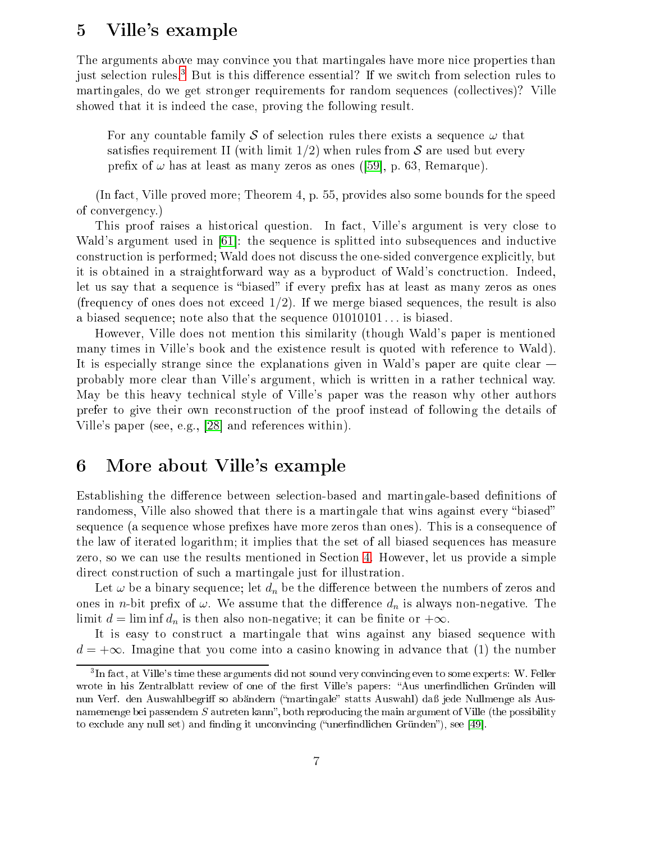# 5 Ville's example

The arguments above may convince you that martingales have more nice properties than just selection rules. Dut is this difference essential? If we switch from selection rules to martingales, do we get stronger requirements for random sequences (collectives)? Ville showed that it is indeed the ase, proving the following result.

For any countable family S of selection rules there exists a sequence  $\omega$  that satisfies requirement II (with limit  $1/2$ ) when rules from S are used but every prefix of  $\omega$  has at least as many zeros as ones ([59], p. 63, Remarque).

(In fa
t, Ville proved more; Theorem 4, p. 55, provides also some bounds for the speed of onvergen
y.)

This proof raises a historical question. In fact, Ville's argument is very close to Wald's argument used in  $|61|$ : the sequence is splitted into subsequences and inductive construction is performed; Wald does not discuss the one-sided convergence explicitly, but it is obtained in a straightforward way as a byproduct of Wald's conctruction. Indeed, let us say that a sequence is "biased" if every prefix has at least as many zeros as ones (frequency of ones does not exceed  $1/2$ ). If we merge biased sequences, the result is also a biased sequence; note also that the sequence  $01010101...$  is biased.

However, Ville does not mention this similarity (though Wald's paper is mentioned many times in Ville's book and the existen
e result is quoted with referen
e to Wald). It is especially strange since the explanations given in Wald's paper are quite clear – probably more clear than Ville's argument, which is written in a rather technical way. May be this heavy technical style of Ville's paper was the reason why other authors prefer to give their own re
onstru
tion of the proof instead of following the details of Ville's paper (see, e.g.,  $|28|$  and references within).

# 6 More about Ville's example

Establishing the difference between selection-based and martingale-based definitions of randomess, Ville also showed that there is a martingale that wins against every "biased" sequence (a sequence whose prefixes have more zeros than ones). This is a consequence of the law of iterated logarithm; it implies that the set of all biased sequen
es has measure zero, so we can use the results mentioned in Section [4.](#page-4-0) However, let us provide a simple direct construction of such a martingale just for illustration.

Let  $\omega$  be a binary sequence; let  $d_n$  be the difference between the numbers of zeros and ones in *n*-bit prefix of  $\omega$ . We assume that the difference  $d_n$  is always non-negative. The limit  $d = \liminf d_n$  is then also non-negative; it can be finite or  $+\infty$ .

It is easy to construct a martingale that wins against any biased sequence with  $d = +\infty$ . Imagine that you come into a casino knowing in advance that (1) the number

<span id="page-6-0"></span> ${}^{3}$ In fact, at Ville's time these arguments did not sound very convincing even to some experts: W. Feller wrote in his Zentralblatt review of one of the first Ville's papers: "Aus unerfindlichen Gründen will nun Verf. den Auswahlbegriff so abändern ("martingale" statts Auswahl) daß jede Nullmenge als Ausnamemenge bei passendem  $S$  autreten kann", both reproducing the main argument of Ville (the possibility to exclude any null set) and finding it unconvincing ("unerfindlichen Gründen"), see [49].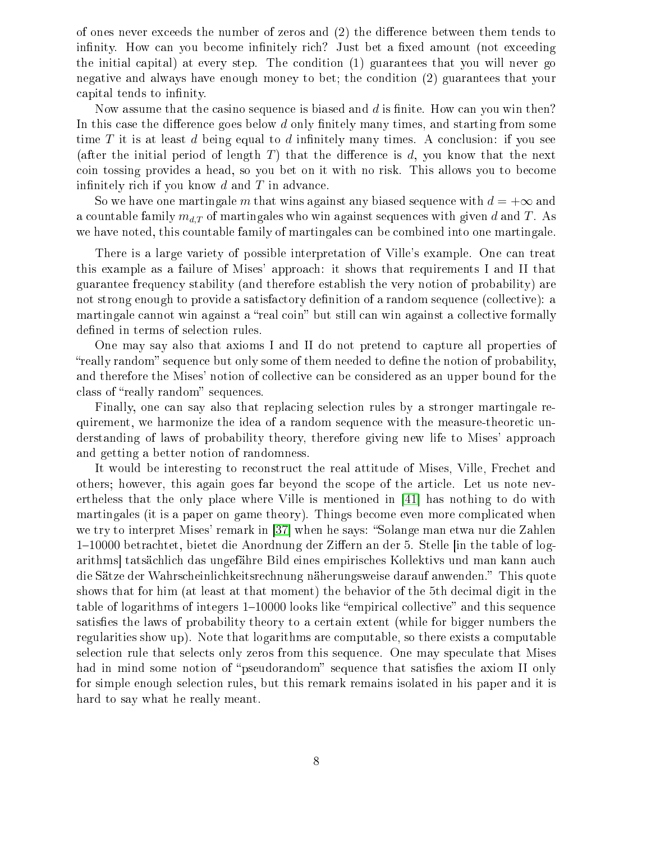of ones never exceeds the number of zeros and (2) the difference between them tends to infinity. How can you become infinitely rich? Just bet a fixed amount (not exceeding the initial apital) at every step. The ondition (1) guarantees that you will never go negative and always have enough money to bet; the ondition (2) guarantees that your capital tends to infinity.

Now assume that the casino sequence is biased and  $d$  is finite. How can you win then? In this case the difference goes below  $d$  only finitely many times, and starting from some time T it is at least d being equal to d infinitely many times. A conclusion: if you see (after the initial period of length T) that the difference is d, you know that the next coin tossing provides a head, so you bet on it with no risk. This allows you to become infinitely rich if you know  $d$  and  $T$  in advance.

So we have one martingale m that wins against any biased sequence with  $d = +\infty$  and a countable family  $m<sub>d</sub> T$  of martingales who win against sequences with given d and T. As we have noted, this ountable family of martingales an be ombined into one martingale.

There is a large variety of possible interpretation of Ville's example. One an treat this example as a failure of Mises' approa
h: it shows that requirements I and II that guarantee frequen
y stability (and therefore establish the very notion of probability) are not strong enough to provide a satisfactory definition of a random sequence (collective): a martingale cannot win against a "real coin" but still can win against a collective formally defined in terms of selection rules.

One may say also that axioms I and II do not pretend to apture all properties of "really random" sequence but only some of them needed to define the notion of probability. and therefore the Mises' notion of collective can be considered as an upper bound for the class of "really random" sequences.

Finally, one can say also that replacing selection rules by a stronger martingale requirement, we harmonize the idea of a random sequence with the measure-theoretic understanding of laws of probability theory, therefore giving new life to Mises' approach and getting a better notion of randomness.

It would be interesting to reconstruct the real attitude of Mises, Ville, Frechet and others; however, this again goes far beyond the s
ope of the arti
le. Let us note nevertheless that the only place where Ville is mentioned in  $[41]$  has nothing to do with martingales (it is a paper on game theory). Things become even more complicated when we try to interpret Mises' remark in [37] when he says: "Solange man etwa nur die Zahlen 1–10000 betrachtet, bietet die Anordnung der Ziffern an der 5. Stelle [in the table of logarithms] tatsächlich das ungefähre Bild eines empirisches Kollektivs und man kann auch die Satze der Wahrs
heinli
hkeitsre
hnung naherungsweise darauf anwenden. This quote shows that for him (at least at that moment) the behavior of the 5th decimal digit in the table of logarithms of integers 1–10000 looks like "empirical collective" and this sequence satisfies the laws of probability theory to a certain extent (while for bigger numbers the regularities show up). Note that logarithms are omputable, so there exists a omputable selection rule that selects only zeros from this sequence. One may speculate that Mises had in mind some notion of "pseudorandom" sequence that satisfies the axiom II only for simple enough selection rules, but this remark remains isolated in his paper and it is hard to say what he really meant.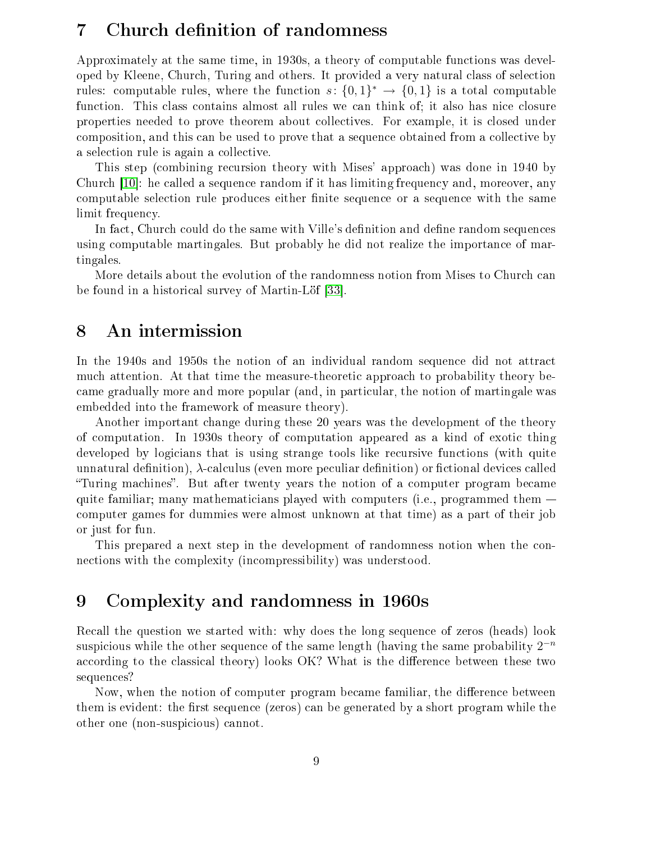#### Church definition of randomness  $\overline{7}$

Approximately at the same time, in 1930s, a theory of omputable fun
tions was developed by Kleene, Chur
h, Turing and others. It provided a very natural lass of sele
tion rules: computable rules, where the function  $s: \{0,1\}^* \to \{0,1\}$  is a total computable function. This class contains almost all rules we can think of; it also has nice closure properties needed to prove theorem about collectives. For example, it is closed under composition, and this can be used to prove that a sequence obtained from a collective by a selection rule is again a collective.

This step (
ombining re
ursion theory with Mises' approa
h) was done in 1940 by Church [10]: he called a sequence random if it has limiting frequency and, moreover, any omputable sele
tion rule produ
es either nite sequen
e or a sequen
e with the same limit frequency.

In fact, Church could do the same with Ville's definition and define random sequences using omputable martingales. But probably he did not realize the importan
e of martingales.

More details about the evolution of the randomness notion from Mises to Church can be found in a historical survey of Martin-Löf [33].

## 8 An intermission

In the 1940s and 1950s the notion of an individual random sequence did not attract much attention. At that time the measure-theoretic approach to probability theory became gradually more and more popular (and, in particular, the notion of martingale was embedded into the framework of measure theory).

Another important hange during these 20 years was the development of the theory of omputation. In 1930s theory of omputation appeared as a kind of exoti thing developed by logicians that is using strange tools like recursive functions (with quite unnatural definition),  $\lambda$ -calculus (even more peculiar definition) or fictional devices called "Turing machines". But after twenty years the notion of a computer program became quite familiar; many mathematicians played with computers (i.e., programmed them  $$ omputer games for dummies were almost unknown at that time) as a part of their job or just for fun.

This prepared a next step in the development of randomness notion when the conne
tions with the omplexity (in
ompressibility) was understood.

#### 9 Complexity and randomness in 1960s 9

Recall the question we started with: why does the long sequence of zeros (heads) look suspicious while the other sequence of the same length (having the same probability  $2^{-n}$ according to the classical theory) looks OK? What is the difference between these two sequen
es?

Now, when the notion of computer program became familiar, the difference between them is evident: the first sequence (zeros) can be generated by a short program while the other one (non-suspi
ious) annot.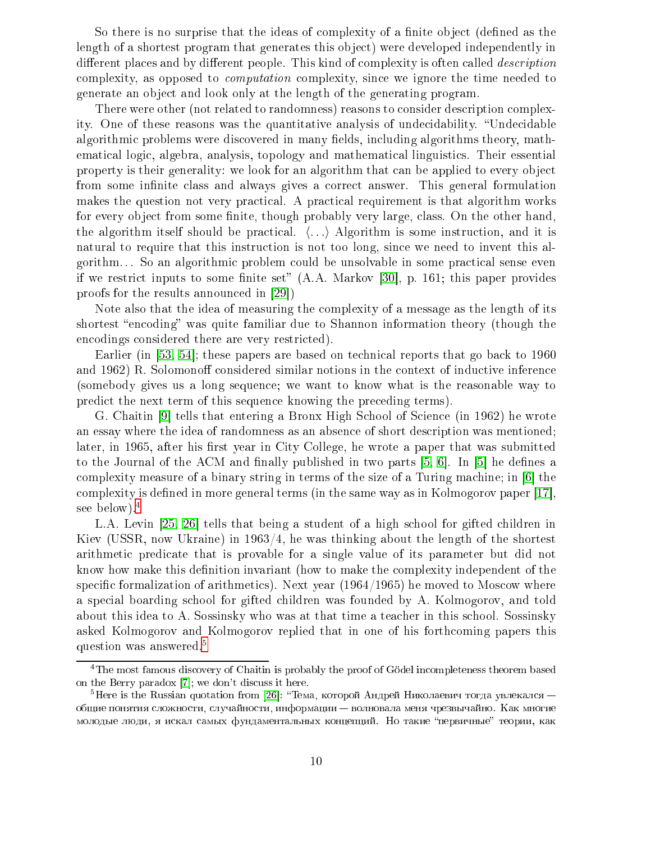So there is no surprise that the ideas of complexity of a finite object (defined as the length of a shortest program that generates this object) were developed independently in different places and by different people. This kind of complexity is often called *description* complexity, as opposed to *computation* complexity, since we ignore the time needed to generate an object and look only at the length of the generating program.

There were other (not related to randomness) reasons to consider description complexity. One of these reasons was the quantitative analysis of undecidability. "Undecidable algorithmic problems were discovered in many fields, including algorithms theory, mathematical logic, algebra, analysis, topology and mathematical linguistics. Their essential property is their generality: we look for an algorithm that can be applied to every object from some infinite class and always gives a correct answer. This general formulation makes the question not very practical. A practical requirement is that algorithm works for every object from some finite, though probably very large, class. On the other hand, the algorithm itself should be practical.  $\langle \ldots \rangle$  Algorithm is some instruction, and it is natural to require that this instruction is not too long, since we need to invent this algorithm... So an algorithmic problem could be unsolvable in some practical sense even if we restrict inputs to some finite set"  $(A.A. \text{ Markov } |30|, p. 161$ ; this paper provides proofs for the results announced in  $[29]$ 

Note also that the idea of measuring the omplexity of a message as the length of its shortest "encoding" was quite familiar due to Shannon information theory (though the encodings considered there are very restricted).

Earlier (in  $[53, 54]$  $[53, 54]$ ; these papers are based on technical reports that go back to 1960 and  $1962$ ) R. Solomonoff considered similar notions in the context of inductive inference (somebody gives us a long sequen
e; we want to know what is the reasonable way to predi
t the next term of this sequen
e knowing the pre
eding terms).

G. Chaitin [9] tells that entering a Bronx High School of Science (in 1962) he wrote an essay where the idea of randomness as an absen
e of short des
ription was mentioned; later, in 1965, after his first year in City College, he wrote a paper that was submitted to the Journal of the ACM and finally published in two parts  $[5, 6]$  $[5, 6]$ . In  $[5]$  he defines a complexity measure of a binary string in terms of the size of a Turing machine; in  $\lceil 6 \rceil$  the complexity is defined in more general terms (in the same way as in Kolmogorov paper  $[17]$ , see below)[.4](#page-9-0)

L.A. Levin  $[25, 26]$  $[25, 26]$  tells that being a student of a high school for gifted children in Kiev (USSR, now Ukraine) in 1963/4, he was thinking about the length of the shortest arithmetic predicate that is provable for a single value of its parameter but did not know how make this definition invariant (how to make the complexity independent of the specific formalization of arithmetics). Next year  $(1964/1965)$  he moved to Moscow where a spe
ial boarding s
hool for gifted hildren was founded by A. Kolmogorov, and told about this idea to A. Sossinsky who was at that time a teacher in this school. Sossinsky asked Kolmogorov and Kolmogorov replied that in one of his forthcoming papers this question was answered.<sup>5</sup>

<span id="page-9-0"></span><sup>4</sup> The most famous dis
overy of Chaitin is probably the proof of Godel in
ompleteness theorem based on the Berry paradox  $[7]$ ; we don't discuss it here.

<span id="page-9-1"></span><sup>&</sup>lt;sup>5</sup> Here is the Russian quotation from [26]: "Тема, которой Андрей Николаевич тогда увлекался – общие понятия сложности, случайности, информации – волновала меня чрезвычайно. Как многие молодые люди, я искал самых фундаментальных концепций. Но такие "первичные" теории, как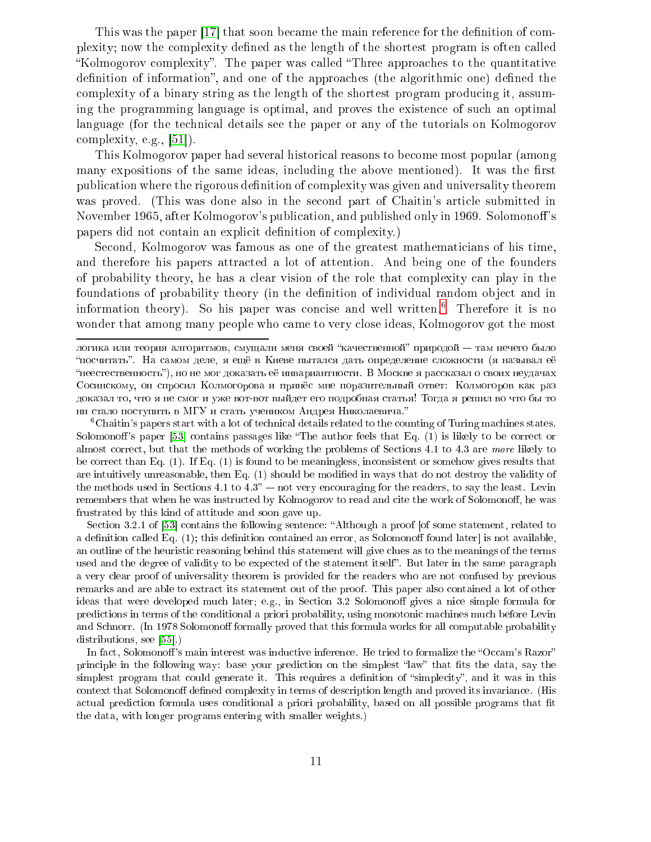This was the paper  $[17]$  that soon became the main reference for the definition of complexity; now the complexity defined as the length of the shortest program is often called "Kolmogorov complexity". The paper was called "Three approaches to the quantitative definition of information", and one of the approaches (the algorithmic one) defined the complexity of a binary string as the length of the shortest program producing it, assuming the programming language is optimal, and proves the existence of such an optimal language (for the technical details see the paper or any of the tutorials on Kolmogorov complexity, e.g.,  $[51]$ .

This Kolmogorov paper had several histori
al reasons to be
ome most popular (among many expositions of the same ideas, including the above mentioned). It was the first publication where the rigorous definition of complexity was given and universality theorem was proved. (This was done also in the second part of Chaitin's article submitted in November 1965, after Kolmogorov's publication, and published only in 1969. Solomonoff's papers did not contain an explicit definition of complexity.)

Second, Kolmogorov was famous as one of the greatest mathematicians of his time, and therefore his papers attracted a lot of attention. And being one of the founders of probability theory, he has a lear vision of the role that omplexity an play in the foundations of probability theory (in the definition of individual random object and in information theory). So his paper was concise and well written." Therefore it is no wonder that among many people who came to very close ideas, Kolmogorov got the most

<span id="page-10-0"></span><sup>o</sup>Chaitin's papers start with a lot of technical details related to the counting of Turing machines states. Solomonoff's paper  $[53]$  contains passages like "The author feels that Eq. (1) is likely to be correct or almost orre
t, but that the methods of working the problems of Se
tions 4.1 to 4.3 are more likely to be correct than Eq. (1). If Eq. (1) is found to be meaningless, inconsistent or somehow gives results that are intuitively unreasonable, then Eq. (1) should be modified in ways that do not destroy the validity of the methods used in Sections 4.1 to  $4.3$ "  $-$  not very encouraging for the readers, to say the least. Levin remembers that when he was instructed by Kolmogorov to read and cite the work of Solomonoff, he was frustrated by this kind of attitude and soon gave up.

Section 3.2.1 of [53] contains the following sentence: "Although a proof [of some statement, related to a definition called Eq.  $(1)$ ; this definition contained an error, as Solomonoff found later is not available, an outline of the heuristic reasoning behind this statement will give clues as to the meanings of the terms used and the degree of validity to be expected of the statement itself". But later in the same paragraph a very lear proof of universality theorem is provided for the readers who are not onfused by previous remarks and are able to extract its statement out of the proof. This paper also contained a lot of other ideas that were developed much later; e.g., in Section 3.2 Solomonoff gives a nice simple formula for predi
tions in terms of the onditional a priori probability, using monotoni ma
hines mu
h before Levin and Schnorr. (In 1978 Solomonoff formally proved that this formula works for all computable probability distributions, see [55].

In fact, Solomonoff's main interest was inductive inference. He tried to formalize the "Occam's Razor" principle in the following way: base your prediction on the simplest "law" that fits the data, say the simplest program that could generate it. This requires a definition of "simplecity", and it was in this context that Solomonoff defined complexity in terms of description length and proved its invariance. (His actual prediction formula uses conditional a priori probability, based on all possible programs that fit the data, with longer programs entering with smaller weights.)

логика или теория алгоритмов, смущали меня своей "качественной" природой — там нечего было "посчитать". На самом деле, я ещё в Киеве пытался дать определение сложности (я называл её "неестественность"), но не мог доказать её инвариантности. В Москве я рассказал о своих неудачах Сосинскому, он спросил Колмогорова и принёс мне поразительный ответ: Колмогоров как раз доказал то, что я не смог и уже вот-вот выйдет его подробная статья! Тогда я решил во что бы то ни стало поступить в МГУ и стать учеником Андрея Николаевича."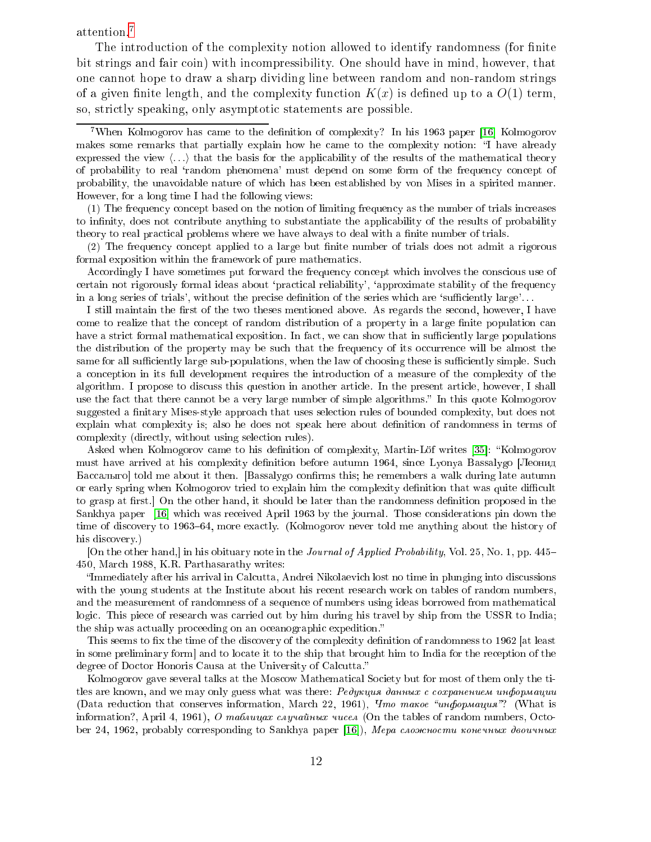#### attention[.7](#page-11-0)

The introduction of the complexity notion allowed to identify randomness (for finite bit strings and fair coin) with incompressibility. One should have in mind, however, that one annot hope to draw a sharp dividing line between random and non-random strings of a given finite length, and the complexity function  $K(x)$  is defined up to a  $O(1)$  term, so, strictly speaking, only asymptotic statements are possible.

(1) The frequen
y on
ept based on the notion of limiting frequen
y as the number of trials in
reases to infinity, does not contribute anything to substantiate the applicability of the results of probability theory to real practical problems where we have always to deal with a finite number of trials.

(2) The frequency concept applied to a large but finite number of trials does not admit a rigorous formal exposition within the framework of pure mathemati
s.

Accordingly I have sometimes put forward the frequency concept which involves the conscious use of certain not rigorously formal ideas about 'practical reliability', 'approximate stability of the frequency in a long series of trials', without the precise definition of the series which are 'sufficiently large'...

I still maintain the first of the two theses mentioned above. As regards the second, however, I have come to realize that the concept of random distribution of a property in a large finite population can have a strict formal mathematical exposition. In fact, we can show that in sufficiently large populations the distribution of the property may be such that the frequency of its occurrence will be almost the same for all sufficiently large sub-populations, when the law of choosing these is sufficiently simple. Such a conception in its full development requires the introduction of a measure of the complexity of the algorithm. I propose to discuss this question in another article. In the present article, however, I shall use the fact that there cannot be a very large number of simple algorithms." In this quote Kolmogorov suggested a finitary Mises-style approach that uses selection rules of bounded complexity, but does not explain what complexity is; also he does not speak here about definition of randomness in terms of complexity (directly, without using selection rules).

Asked when Kolmogorov came to his definition of complexity, Martin-Löf writes [35]: "Kolmogorov must have arrived at his complexity definition before autumn 1964, since Lyonya Bassalygo [Леонид Бассалыго told me about it then. [Bassalygo confirms this; he remembers a walk during late autumn or early spring when Kolmogorov tried to explain him the complexity definition that was quite difficult to grasp at first. On the other hand, it should be later than the randomness definition proposed in the Sankhya paper [16] which was received April 1963 by the journal. Those considerations pin down the time of discovery to 1963–64, more exactly. (Kolmogorov never told me anything about the history of his dis
overy.)

[On the other hand,] in his obituary note in the *Journal of Applied Probability*, Vol. 25, No. 1, pp.  $445-$ 450, Mar
h 1988, K.R. Parthasarathy writes:

"Immediately after his arrival in Calcutta, Andrei Nikolaevich lost no time in plunging into discussions with the young students at the Institute about his re
ent resear
h work on tables of random numbers, and the measurement of randomness of a sequence of numbers using ideas borrowed from mathematical logic. This piece of research was carried out by him during his travel by ship from the USSR to India; the ship was actually proceeding on an oceanographic expedition."

This seems to fix the time of the discovery of the complexity definition of randomness to 1962 [at least in some preliminary form and to locate it to the ship that brought him to India for the reception of the degree of Doctor Honoris Causa at the University of Calcutta."

Kolmogorov gave several talks at the Moscow Mathematical Society but for most of them only the titles are known, and we may only guess what was there:  $Pedy_{\mathcal{K}}$   $q$  анных с сохранением информации (Data reduction that conserves information, March 22, 1961), *Что такое "информация"*? (What is information?, April 4, 1961), O ma $\delta \delta \omega$  and  $\delta \omega$  and  $\delta \omega$  (On the tables of random numbers, October 24, 1962, probably corresponding to Sankhya paper [16]), Мера сложности конечных двоичных

<span id="page-11-0"></span><sup>&</sup>lt;sup>7</sup>When Kolmogorov has came to the definition of complexity? In his 1963 paper [16] Kolmogorov makes some remarks that partially explain how he came to the complexity notion: "I have already expressed the view  $\langle \ldots \rangle$  that the basis for the applicability of the results of the mathematical theory of probability to real 'random phenomena' must depend on some form of the frequency concept of probability, the unavoidable nature of whi
h has been established by von Mises in a spirited manner. However, for a long time I had the following views: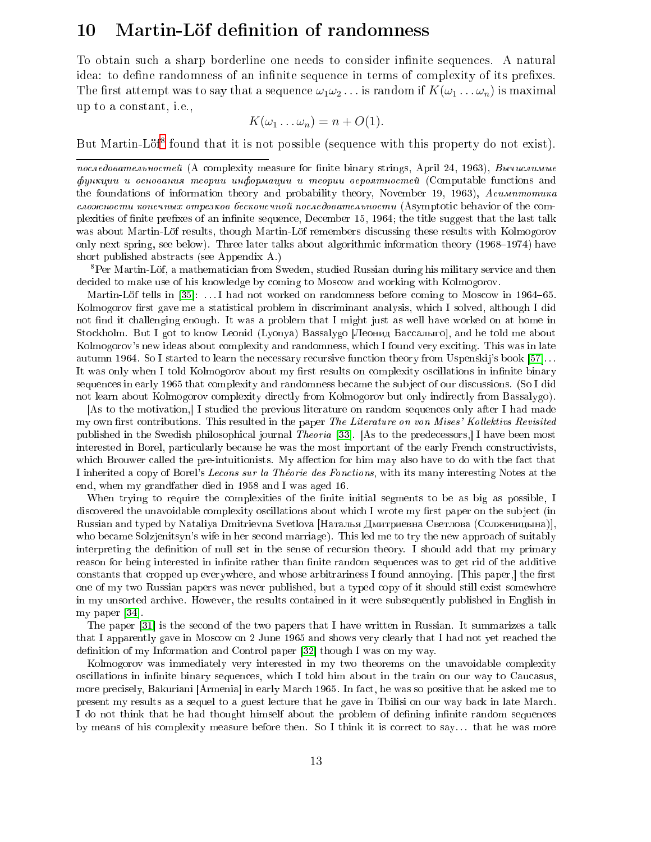#### 10 Martin-Löf definition of randomness

To obtain such a sharp borderline one needs to consider infinite sequences. A natural idea: to define randomness of an infinite sequence in terms of complexity of its prefixes. The first attempt was to say that a sequence  $\omega_1\omega_2 \dots$  is random if  $K(\omega_1 \dots \omega_n)$  is maximal up to a onstant, i.e.,

$$
K(\omega_1 \ldots \omega_n) = n + O(1).
$$

But Martin-Lor' found that it is not possible (sequence with this property do not exist).

<span id="page-12-0"></span>Fer Martin-Lof, a mathematician from Sweden, studied Russian during his military service and then de
ided to make use of his knowledge by oming to Mos
ow and working with Kolmogorov.

Martin-Löf tells in  $[35]$ : ... I had not worked on randomness before coming to Moscow in 1964–65. Kolmogorov first gave me a statistical problem in discriminant analysis, which I solved, although I did not find it challenging enough. It was a problem that I might just as well have worked on at home in Stockholm. But I got to know Leonid (Lyonya) Bassalygo [Леонид Бассалыго], and he told me about Kolmogorov's new ideas about complexity and randomness, which I found very exciting. This was in late autumn 1964. So I started to learn the necessary recursive function theory from Uspenskij's book [57]... It was only when I told Kolmogorov about my first results on complexity oscillations in infinite binary sequences in early 1965 that complexity and randomness became the subject of our discussions. (So I did not learn about Kolmogorov omplexity dire
tly from Kolmogorov but only indire
tly from Bassalygo).

[As to the motivation,] I studied the previous literature on random sequences only after I had made my own first contributions. This resulted in the paper The Literature on von Mises' Kollektivs Revisited published in the Swedish philosophical journal *Theoria* [33]. [As to the predecessors,] I have been most interested in Borel, particularly because he was the most important of the early French constructivists, which Brouwer called the pre-intuitionists. My affection for him may also have to do with the fact that I inherited a copy of Borel's *Lecons sur la Théorie des Fonctions*, with its many interesting Notes at the end, when my grandfather died in 1958 and I was aged 16.

When trying to require the complexities of the finite initial segments to be as big as possible. I discovered the unavoidable complexity oscillations about which I wrote my first paper on the subject (in Russian and typed by Nataliya Dmitrievna Svetlova [Наталья Дмитриевна Светлова (Солженицына)], who became Solzjenitsyn's wife in her second marriage). This led me to try the new approach of suitably interpreting the definition of null set in the sense of recursion theory. I should add that my primary reason for being interested in infinite rather than finite random sequences was to get rid of the additive constants that cropped up everywhere, and whose arbitrariness I found annoying. This paper, the first one of my two Russian papers was never published, but a typed opy of it should still exist somewhere in my unsorted ar
hive. However, the results ontained in it were subsequently published in English in my paper  $[34]$ .

The paper  $[31]$  is the second of the two papers that I have written in Russian. It summarizes a talk that I apparently gave in Mos
ow on 2 June 1965 and shows very learly that I had not yet rea
hed the definition of my Information and Control paper  $[32]$  though I was on my way.

Kolmogorov was immediately very interested in my two theorems on the unavoidable omplexity oscillations in infinite binary sequences, which I told him about in the train on our way to Caucasus, more precisely, Bakuriani [Armenia] in early March 1965. In fact, he was so positive that he asked me to present my results as a sequel to a guest le
ture that he gave in Tbilisi on our way ba
k in late Mar
h. I do not think that he had thought himself about the problem of defining infinite random sequences by means of his complexity measure before then. So I think it is correct to say... that he was more

nocnedosamentometa (A complexity measure for finite binary strings, April 24, 1963), Buvucnumete функции и основания теории информации и теории вероятностей (Computable functions and the foundations of information theory and probability theory, November 19, 1963), Acummomuka  $\alpha$ ожности конечных отрезков бесконечной последовательности (Asymptotic behavior of the complexities of finite prefixes of an infinite sequence, December 15, 1964; the title suggest that the last talk was about Martin-Löf results, though Martin-Löf remembers discussing these results with Kolmogorov only next spring, see below). Three later talks about algorithmic information theory (1968–1974) have short published abstracts (see Appendix A.)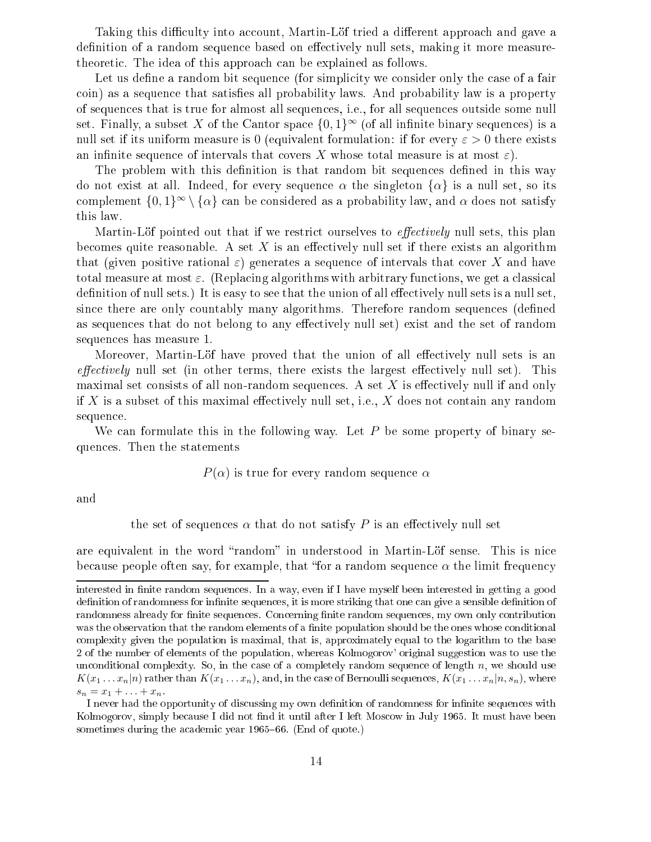Taking this difficulty into account, Martin-Löf tried a different approach and gave a definition of a random sequence based on effectively null sets, making it more measuretheoreti
. The idea of this approa
h an be explained as follows.

Let us define a random bit sequence (for simplicity we consider only the case of a fair coin) as a sequence that satisfies all probability laws. And probability law is a property of sequen
es that is true for almost all sequen
es, i.e., for all sequen
es outside some null set. Finally, a subset X of the Cantor space  $\{0,1\}^{\infty}$  (of all infinite binary sequences) is a null set if its uniform measure is 0 (equivalent formulation: if for every  $\varepsilon > 0$  there exists an infinite sequence of intervals that covers X whose total measure is at most  $\varepsilon$ ).

The problem with this definition is that random bit sequences defined in this way do not exist at all. Indeed, for every sequence  $\alpha$  the singleton  $\{\alpha\}$  is a null set, so its complement  $\{0,1\}^{\infty}\setminus\{\alpha\}$  can be considered as a probability law, and  $\alpha$  does not satisfy this law.

Martin-Löf pointed out that if we restrict ourselves to *effectively* null sets, this plan becomes quite reasonable. A set X is an effectively null set if there exists an algorithm that (given positive rational  $\varepsilon$ ) generates a sequence of intervals that cover X and have total measure at most  $\varepsilon$ . (Replacing algorithms with arbitrary functions, we get a classical definition of null sets.) It is easy to see that the union of all effectively null sets is a null set, since there are only countably many algorithms. Therefore random sequences (defined as sequences that do not belong to any effectively null set) exist and the set of random sequen
es has measure 1.

Moreover, Martin-Löf have proved that the union of all effectively null sets is an  $effectively$  null set (in other terms, there exists the largest effectively null set). This maximal set consists of all non-random sequences. A set  $X$  is effectively null if and only if X is a subset of this maximal effectively null set, i.e., X does not contain any random sequence.

We can formulate this in the following way. Let  $P$  be some property of binary sequen
es. Then the statements

 $P(\alpha)$  is true for every random sequence  $\alpha$ 

and

the set of sequences  $\alpha$  that do not satisfy P is an effectively null set

are equivalent in the word "random" in understood in Martin-Löf sense. This is nice because people often say, for example, that "for a random sequence  $\alpha$  the limit frequency

interested in finite random sequences. In a way, even if I have myself been interested in getting a good definition of randomness for infinite sequences, it is more striking that one can give a sensible definition of randomness already for finite sequences. Concerning finite random sequences, my own only contribution was the observation that the random elements of a finite population should be the ones whose conditional omplexity given the population is maximal, that is, approximately equal to the logarithm to the base 2 of the number of elements of the population, whereas Kolmogorov' original suggestion was to use the unconditional complexity. So, in the case of a completely random sequence of length  $n$ , we should use  $K(x_1 \ldots x_n | n)$  rather than  $K(x_1 \ldots x_n)$ , and, in the case of Bernoulli sequences,  $K(x_1 \ldots x_n | n, s_n)$ , where  $s_n = x_1 + \ldots + x_n$ .

I never had the opportunity of discussing my own definition of randomness for infinite sequences with Kolmogorov, simply because I did not find it until after I left Moscow in July 1965. It must have been sometimes during the academic year 1965–66. (End of quote.)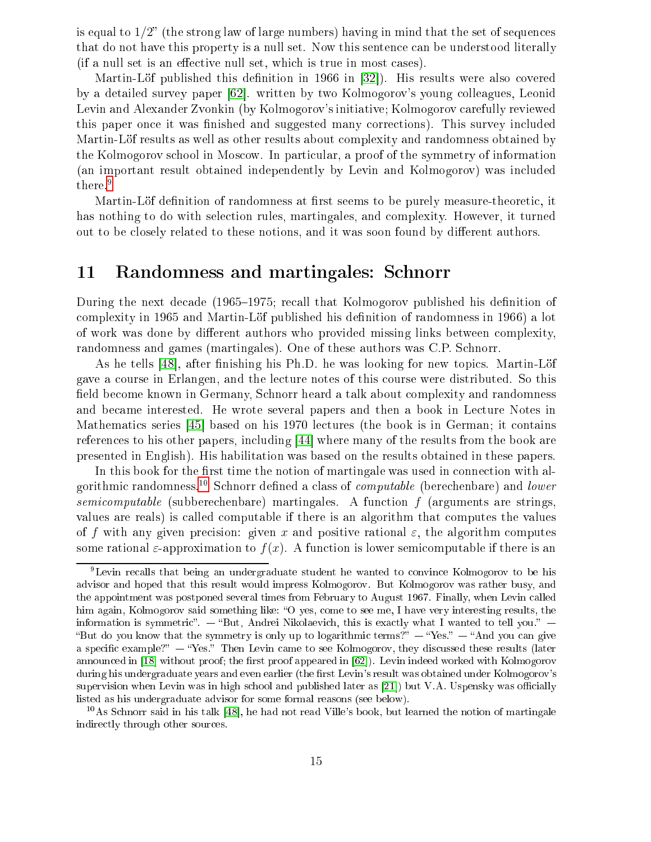is equal to  $1/2$ " (the strong law of large numbers) having in mind that the set of sequences that do not have this property is a null set. Now this sentence can be understood literally (if a null set is an effective null set, which is true in most cases).

Martin-Löf published this definition in 1966 in  $[32]$ . His results were also covered by a detailed survey paper [62]. written by two Kolmogorov's young colleagues, Leonid Levin and Alexander Zvonkin (by Kolmogorov's initiative; Kolmogorov arefully reviewed this paper once it was finished and suggested many corrections). This survey included Martin-Löf results as well as other results about complexity and randomness obtained by the Kolmogorov s
hool in Mos
ow. In parti
ular, a proof of the symmetry of information (an important result obtained independently by Levin and Kolmogorov) was in
luded there.<sup>[9](#page-14-0)</sup>

Martin-Löf definition of randomness at first seems to be purely measure-theoretic, it has nothing to do with selection rules, martingales, and complexity. However, it turned out to be closely related to these notions, and it was soon found by different authors.

## 11 Randomness and martingales: S
hnorr

During the next decade (1965–1975; recall that Kolmogorov published his definition of complexity in 1965 and Martin-Löf published his definition of randomness in 1966) a lot of work was done by different authors who provided missing links between complexity, randomness and games (martingales). One of these authors was C.P. Schnorr.

As he tells  $[48]$ , after finishing his Ph.D. he was looking for new topics. Martin-Löf gave a ourse in Erlangen, and the le
ture notes of this ourse were distributed. So this field become known in Germany, Schnorr heard a talk about complexity and randomness and became interested. He wrote several papers and then a book in Lecture Notes in Mathematics series [45] based on his 1970 lectures (the book is in German; it contains references to his other papers, including  $[44]$  where many of the results from the book are presented in English). His habilitation was based on the results obtained in these papers.

In this book for the first time the notion of martingale was used in connection with algorithmic randomness.<sup>10</sup> Schnorr defined a class of *computable* (berechenbare) and *lower* semicomputable (subberechenbare) martingales. A function f (arguments are strings, values are reals) is alled omputable if there is an algorithm that omputes the values of f with any given precision: given x and positive rational  $\varepsilon$ , the algorithm computes some rational  $\varepsilon$ -approximation to  $f(x)$ . A function is lower semicomputable if there is an

<span id="page-14-0"></span><sup>-</sup>Levin recalls that being an undergraduate student he wanted to convince Kolmogorov to be his advisor and hoped that this result would impress Kolmogorov. But Kolmogorov was rather busy, and the appointment was postponed several times from February to August 1967. Finally, when Levin called him again, Kolmogorov said something like: "O yes, come to see me, I have very interesting results, the information is symmetric".  $-$  "But, Andrei Nikolaevich, this is exactly what I wanted to tell you."  $-$ "But do you know that the symmetry is only up to logarithmic terms?"  $-$  "Yes."  $-$  "And you can give a specific example?" — "Yes." Then Levin came to see Kolmogorov, they discussed these results (later announced in [18] without proof; the first proof appeared in [62]). Levin indeed worked with Kolmogorov during his undergraduate years and even earlier (the first Levin's result was obtained under Kolmogorov's supervision when Levin was in high school and published later as  $[21]$  but V.A. Uspensky was officially listed as his undergraduate advisor for some formal reasons (see below).

<span id="page-14-1"></span> $10$ As Schnorr said in his talk [48], he had not read Ville's book, but learned the notion of martingale indire
tly through other sour
es.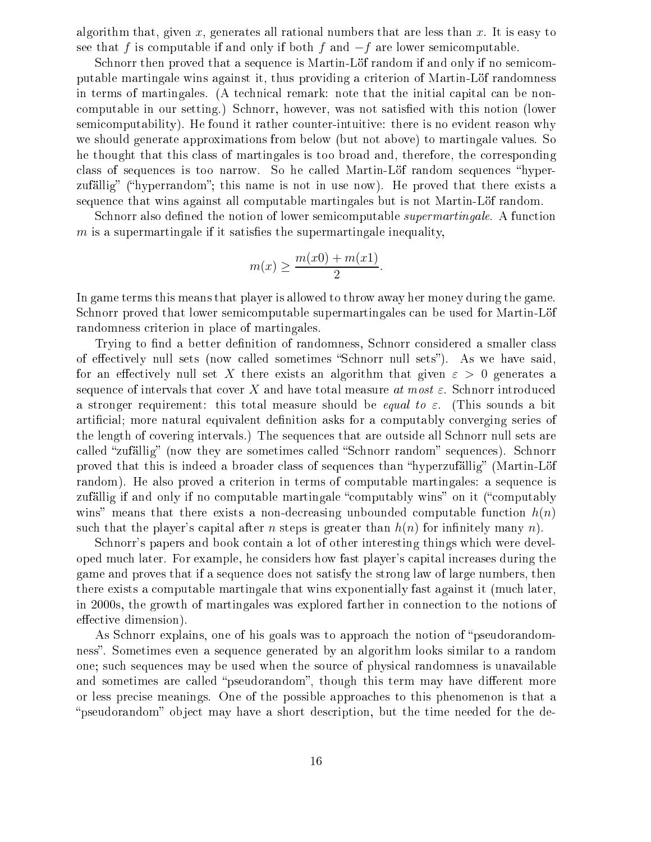algorithm that, given x, generates all rational numbers that are less than x. It is easy to see that f is computable if and only if both f and  $-f$  are lower semicomputable.

Schnorr then proved that a sequence is Martin-Löf random if and only if no semicomputable martingale wins against it, thus providing a criterion of Martin-Löf randomness in terms of martingales. (A technical remark: note that the initial capital can be noncomputable in our setting.) Schnorr, however, was not satisfied with this notion (lower semicomputability). He found it rather counter-intuitive: there is no evident reason why we should generate approximations from below (but not above) to martingale values. So he thought that this class of martingales is too broad and, therefore, the corresponding class of sequences is too narrow. So he called Martin-Löf random sequences "hyperzufällig" ("hyperrandom"; this name is not in use now). He proved that there exists a sequence that wins against all computable martingales but is not Martin-Löf random.

Schnorr also defined the notion of lower semicomputable *supermartingale*. A function  $m$  is a supermartingale if it satisfies the supermartingale inequality,

$$
m(x) \ge \frac{m(x0) + m(x1)}{2}.
$$

In game terms this means that player is allowed to throw away her money during the game. Schnorr proved that lower semicomputable supermartingales can be used for Martin-Löf randomness riterion in pla
e of martingales.

Trying to find a better definition of randomness, Schnorr considered a smaller class of effectively null sets (now called sometimes "Schnorr null sets"). As we have said, for an effectively null set X there exists an algorithm that given  $\varepsilon > 0$  generates a sequence of intervals that cover X and have total measure at most  $\varepsilon$ . Schnorr introduced a stronger requirement: this total measure should be *equal to*  $\varepsilon$ *.* (This sounds a bit artificial; more natural equivalent definition asks for a computably converging series of the length of covering intervals.) The sequences that are outside all Schnorr null sets are called "zufällig" (now they are sometimes called "Schnorr random" sequences). Schnorr proved that this is indeed a broader class of sequences than "hyperzufallig" (Martin-Löf random). He also proved a criterion in terms of computable martingales: a sequence is zufällig if and only if no computable martingale "computably wins" on it ("computably wins" means that there exists a non-decreasing unbounded computable function  $h(n)$ such that the player's capital after *n* steps is greater than  $h(n)$  for infinitely many *n*).

Schnorr's papers and book contain a lot of other interesting things which were developed mu
h later. For example, he onsiders how fast player's apital in
reases during the game and proves that if a sequen
e does not satisfy the strong law of large numbers, then there exists a omputable martingale that wins exponentially fast against it (mu
h later, in 2000s, the growth of martingales was explored farther in onne
tion to the notions of effective dimension).

As Schnorr explains, one of his goals was to approach the notion of "pseudorandomness. Sometimes even a sequen
e generated by an algorithm looks similar to a random one; su
h sequen
es may be used when the sour
e of physi
al randomness is unavailable and sometimes are called "pseudorandom", though this term may have different more or less pre
ise meanings. One of the possible approa
hes to this phenomenon is that a "pseudorandom" object may have a short description, but the time needed for the de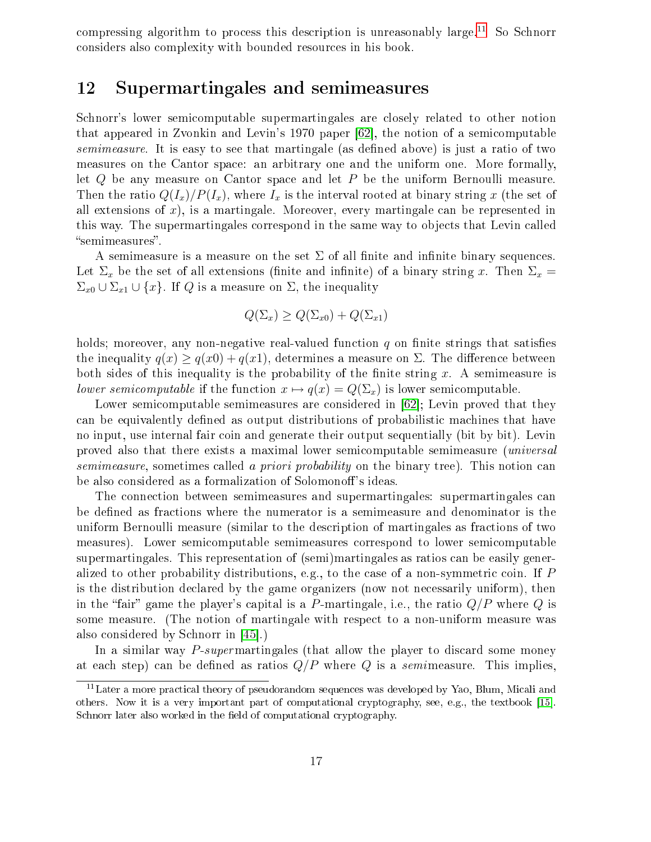compressing algorithm to process this description is unreasonably large.<sup>11</sup> So Schnorr onsiders also omplexity with bounded resour
es in his book.

## 12 Supermartingales and semimeasures

Schnorr's lower semicomputable supermartingales are closely related to other notion that appeared in Zvonkin and Levin's 1970 paper  $[62]$ , the notion of a semicomputable semimeasure. It is easy to see that martingale (as defined above) is just a ratio of two measures on the Cantor spa
e: an arbitrary one and the uniform one. More formally, let Q be any measure on Cantor spa
e and let P be the uniform Bernoulli measure. Then the ratio  $Q(I_x)/P(I_x)$ , where  $I_x$  is the interval rooted at binary string x (the set of all extensions of  $x$ ), is a martingale. Moreover, every martingale can be represented in this way. The supermartingales correspond in the same way to objects that Levin called "semimeasures".

A semimeasure is a measure on the set  $\Sigma$  of all finite and infinite binary sequences. Let  $\Sigma_x$  be the set of all extensions (finite and infinite) of a binary string x. Then  $\Sigma_x$  =  $\Sigma_{x0} \cup \Sigma_{x1} \cup \{x\}.$  If Q is a measure on  $\Sigma$ , the inequality

$$
Q(\Sigma_x) \ge Q(\Sigma_{x0}) + Q(\Sigma_{x1})
$$

holds; moreover, any non-negative real-valued function  $q$  on finite strings that satisfies the inequality  $q(x) \geq q(x0) + q(x1)$ , determines a measure on  $\Sigma$ . The difference between both sides of this inequality is the probability of the finite string  $x$ . A semimeasure is lower semicomputable if the function  $x \mapsto q(x) = Q(\Sigma_x)$  is lower semicomputable.

Lower semicomputable semimeasures are considered in  $[62]$ ; Levin proved that they can be equivalently defined as output distributions of probabilistic machines that have no input, use internal fair coin and generate their output sequentially (bit by bit). Levin proved also that there exists a maximal lower semi
omputable semimeasure (universal semimeasure, sometimes called a priori probability on the binary tree). This notion can be also considered as a formalization of Solomonoff's ideas.

The onne
tion between semimeasures and supermartingales: supermartingales an be defined as fractions where the numerator is a semimeasure and denominator is the uniform Bernoulli measure (similar to the des
ription of martingales as fra
tions of two measures). Lower semi
omputable semimeasures orrespond to lower semi
omputable supermartingales. This representation of (semi)martingales as ratios an be easily generalized to other probability distributions, e.g., to the case of a non-symmetric coin. If  $P$ is the distribution de
lared by the game organizers (now not ne
essarily uniform), then in the "fair" game the player's capital is a P-martingale, i.e., the ratio  $Q/P$  where Q is some measure. (The notion of martingale with respect to a non-uniform measure was also considered by Schnorr in [45].)

In a similar way  $P\text{-}supermartingales$  (that allow the player to discard some money at each step) can be defined as ratios  $Q/P$  where Q is a semimeasure. This implies,

<span id="page-16-0"></span><sup>&</sup>lt;sup>11</sup>Later a more practical theory of pseudorandom sequences was developed by Yao, Blum, Micali and others. Now it is a very important part of computational cryptography, see, e.g., the textbook [15]. Schnorr later also worked in the field of computational cryptography.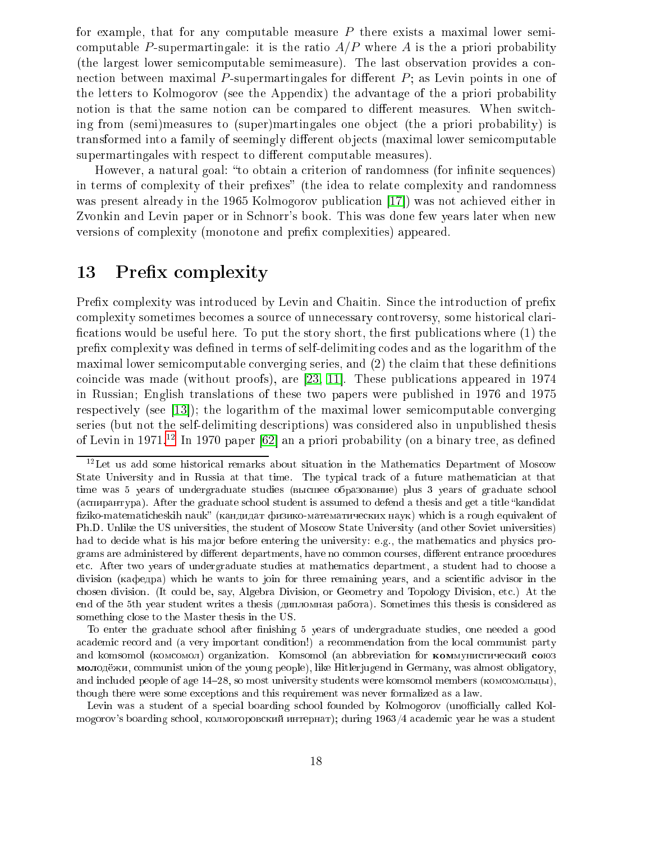for example, that for any computable measure  $P$  there exists a maximal lower semicomputable P-supermartingale: it is the ratio  $A/P$  where A is the a priori probability (the largest lower semi
omputable semimeasure). The last observation provides a onnection between maximal P-supermartingales for different  $P$ ; as Levin points in one of the letters to Kolmogorov (see the Appendix) the advantage of the a priori probability notion is that the same notion can be compared to different measures. When switching from (semi)measures to (super)martingales one object (the a priori probability) is transformed into a family of seemingly different objects (maximal lower semicomputable supermartingales with respect to different computable measures).

However, a natural goal: "to obtain a criterion of randomness (for infinite sequences) in terms of complexity of their prefixes" (the idea to relate complexity and randomness was present already in the 1965 Kolmogorov publication  $(17)$  was not achieved either in Zvonkin and Levin paper or in S
hnorr's book. This was done few years later when new versions of complexity (monotone and prefix complexities) appeared.

# 13 Prefix complexity

Prefix complexity was introduced by Levin and Chaitin. Since the introduction of prefix omplexity sometimes be
omes a sour
e of unne
essary ontroversy, some histori
al lari fications would be useful here. To put the story short, the first publications where  $(1)$  the prefix complexity was defined in terms of self-delimiting codes and as the logarithm of the maximal lower semicomputable converging series, and  $(2)$  the claim that these definitions coincide was made (without proofs), are [\[23,](#page-32-8) 11]. These publications appeared in 1974 in Russian; English translations of these two papers were published in 1976 and 1975 respectively (see  $[13]$ ); the logarithm of the maximal lower semicomputable converging series (but not the self-delimiting des
riptions) was onsidered also in unpublished thesis of Levin in 1971.<sup>[12](#page-17-0)</sup> In 1970 paper [62] an a priori probability (on a binary tree, as defined

To enter the graduate school after finishing 5 years of undergraduate studies, one needed a good academic record and (a very important condition!) a recommendation from the local communist party and komsomol (комсомол) organization. Komsomol (an abbreviation for коммунистический союз **мол**одёжи, communist union of the young people), like Hitlerjugend in Germany, was almost obligatory, and included people of age  $14-28$ , so most university students were komsomol members ( $\kappa$ омсомольцы), though there were some ex
eptions and this requirement was never formalized as a law.

Levin was a student of a special boarding school founded by Kolmogorov (unofficially called Kolmogorov's boarding school, колмогоровский интернат); during 1963/4 academic year he was a student

<span id="page-17-0"></span><sup>&</sup>lt;sup>12</sup>Let us add some historical remarks about situation in the Mathematics Department of Moscow State University and in Russia at that time. The typical track of a future mathematician at that time was 5 years of undergraduate studies (высшее образование) plus 3 years of graduate school (аспирантура). After the graduate school student is assumed to defend a thesis and get a title "kandidat fiziko-matematicheskih nauk" (кандидат физико-математических наук) which is a rough equivalent of Ph.D. Unlike the US universities, the student of Mos
ow State University (and other Soviet universities) had to decide what is his major before entering the university: e.g., the mathematics and physics programs are administered by different departments, have no common courses, different entrance procedures et
. After two years of undergraduate studies at mathemati
s department, a student had to hoose a division (кафедра) which he wants to join for three remaining years, and a scientific advisor in the chosen division. (It could be, say, Algebra Division, or Geometry and Topology Division, etc.) At the end of the 5th year student writes a thesis (дипломная работа). Sometimes this thesis is considered as something close to the Master thesis in the US.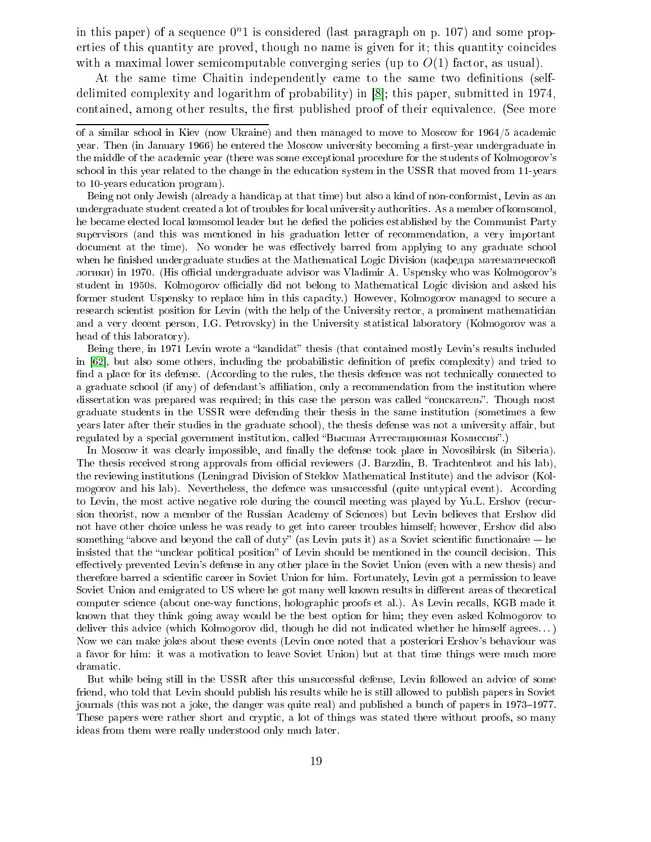in this paper) of a sequence  $0<sup>n</sup>1$  is considered (last paragraph on p. 107) and some properties of this quantity are proved, though no name is given for it; this quantity coincides with a maximal lower semicomputable converging series (up to  $O(1)$  factor, as usual).

At the same time Chaitin independently came to the same two definitions (selfdelimited complexity and logarithm of probability) in  $[8]$ ; this paper, submitted in 1974. contained, among other results, the first published proof of their equivalence. (See more

Being not only Jewish (already a handicap at that time) but also a kind of non-conformist, Levin as an undergraduate student reated a lot of troubles for lo
al university authorities. As a member of komsomol, he became elected local komsomol leader but he defied the policies established by the Communist Party supervisors (and this was mentioned in his graduation letter of re
ommendation, a very important document at the time). No wonder he was effectively barred from applying to any graduate school when he finished undergraduate studies at the Mathematical Logic Division (кафедра математической логики) in 1970. (His official undergraduate advisor was Vladimir A. Uspensky who was Kolmogorov's student in 1950s. Kolmogorov officially did not belong to Mathematical Logic division and asked his former student Uspensky to replace him in this capacity.) However, Kolmogorov managed to secure a research scientist position for Levin (with the help of the University rector, a prominent mathematician and a very de
ent person, I.G. Petrovsky) in the University statisti
al laboratory (Kolmogorov was a head of this laboratory).

Being there, in 1971 Levin wrote a "kandidat" thesis (that contained mostly Levin's results included in  $[62]$ , but also some others, including the probabilistic definition of prefix complexity) and tried to find a place for its defense. (According to the rules, the thesis defence was not technically connected to a graduate school (if any) of defendant's affiliation, only a recommendation from the institution where dissertation was prepared was required; in this case the person was called "concreater ". Though most graduate students in the USSR were defending their thesis in the same institution (sometimes a few years later after their studies in the graduate school), the thesis defense was not a university affair, but regulated by a special government institution, called "Высшая Аттестационная Комиссия".)

In Moscow it was clearly impossible, and finally the defense took place in Novosibirsk (in Siberia). The thesis received strong approvals from official reviewers (J. Barzdin, B. Trachtenbrot and his lab), the reviewing institutions (Leningrad Division of Steklov Mathemati
al Institute) and the advisor (Kolmogorov and his lab). Nevertheless, the defence was unsuccessful (quite untypical event). According to Levin, the most active negative role during the council meeting was played by Yu.L. Ershov (recursion theorist, now a member of the Russian Academy of Sciences) but Levin believes that Ershov did not have other hoi
e unless he was ready to get into areer troubles himself; however, Ershov did also something "above and beyond the call of duty" (as Levin puts it) as a Soviet scientific functionaire  $-$  he insisted that the "unclear political position" of Levin should be mentioned in the council decision. This effectively prevented Levin's defense in any other place in the Soviet Union (even with a new thesis) and therefore barred a scientific career in Soviet Union for him. Fortunately, Levin got a permission to leave Soviet Union and emigrated to US where he got many well known results in different areas of theoretical computer science (about one-way functions, holographic proofs et al.). As Levin recalls, KGB made it known that they think going away would be the best option for him; they even asked Kolmogorov to deliver this advice (which Kolmogorov did, though he did not indicated whether he himself agrees...) Now we an make jokes about these events (Levin on
e noted that a posteriori Ershov's behaviour was a favor for him: it was a motivation to leave Soviet Union) but at that time things were mu
h more dramati
.

But while being still in the USSR after this unsuccessful defense, Levin followed an advice of some friend, who told that Levin should publish his results while he is still allowed to publish papers in Soviet journals (this was not a joke, the danger was quite real) and published a bunch of papers in 1973–1977. These papers were rather short and cryptic, a lot of things was stated there without proofs, so many ideas from them were really understood only mu
h later.

of a similar school in Kiev (now Ukraine) and then managed to move to Moscow for 1964/5 academic year. Then (in January 1966) he entered the Moscow university becoming a first-year undergraduate in the middle of the academic year (there was some exceptional procedure for the students of Kolmogorov's school in this year related to the change in the education system in the USSR that moved from 11-years to 10-years edu
ation program).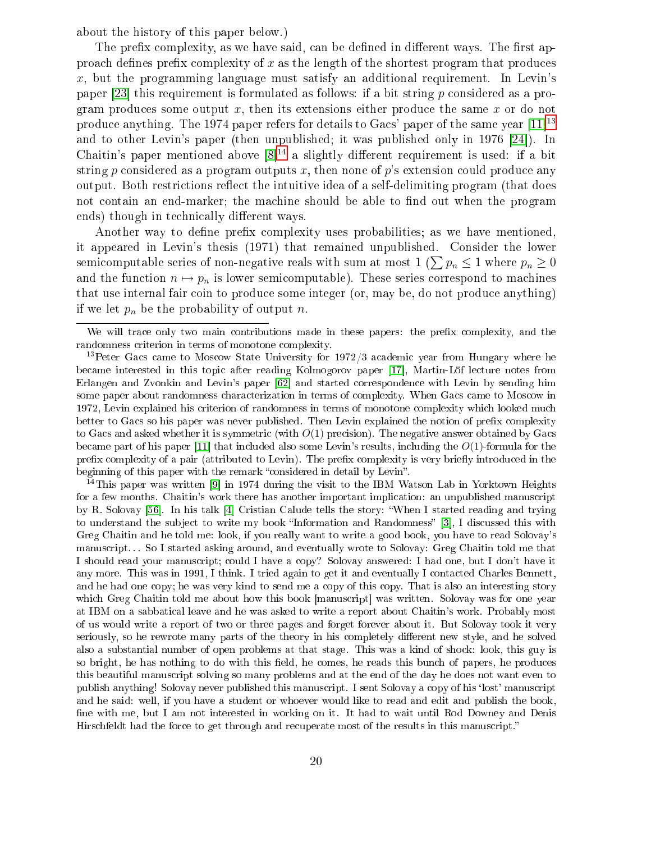about the history of this paper below.)

The prefix complexity, as we have said, can be defined in different ways. The first approach defines prefix complexity of x as the length of the shortest program that produces x, but the programming language must satisfy an additional requirement. In Levin's paper [23] this requirement is formulated as follows: if a bit string p considered as a program produces some output  $x$ , then its extensions either produce the same  $x$  or do not produce anything. The 1974 paper refers for details to Gacs' paper of the same year  $[11]^{13}$  $[11]^{13}$  $[11]^{13}$ and to other Levin's paper (then unpublished; it was published only in  $1976$  [24]). In Chaitin's paper mentioned above  $[8]^{14}$  $[8]^{14}$  $[8]^{14}$  a slightly different requirement is used: if a bit string p considered as a program outputs x, then none of p's extension could produce any output. Both restrictions reflect the intuitive idea of a self-delimiting program (that does not contain an end-marker; the machine should be able to find out when the program ends) though in technically different ways.

Another way to define prefix complexity uses probabilities; as we have mentioned. it appeared in Levin's thesis (1971) that remained unpublished. Consider the lower semicomputable series of non-negative reals with sum at most  $1 \left( \sum p_n \leq 1 \right)$  where  $p_n \geq 0$ and the function  $n \mapsto p_n$  is lower semicomputable). These series correspond to machines that use internal fair coin to produce some integer (or, may be, do not produce anything) if we let  $p_n$  be the probability of output n.

<span id="page-19-1"></span><sup>14</sup>This paper was written [9] in 1974 during the visit to the IBM Watson Lab in Yorktown Heights for a few months. Chaitin's work there has another important implication: an unpublished manuscript by R. Solovay  $[56]$ . In his talk  $[4]$  Cristian Calude tells the story: "When I started reading and trying to understand the subject to write my book "Information and Randomness" [3], I discussed this with Greg Chaitin and he told me: look, if you really want to write a good book, you have to read Solovay's manus
ript. . . So I started asking around, and eventually wrote to Solovay: Greg Chaitin told me that I should read your manuscript; could I have a copy? Solovay answered: I had one, but I don't have it any more. This was in 1991, I think. I tried again to get it and eventually I contacted Charles Bennett, and he had one copy; he was very kind to send me a copy of this copy. That is also an interesting story which Greg Chaitin told me about how this book [manuscript] was written. Solovay was for one year at IBM on a sabbati
al leave and he was asked to write a report about Chaitin's work. Probably most of us would write a report of two or three pages and forget forever about it. But Solovay took it very seriously, so he rewrote many parts of the theory in his completely different new style, and he solved also a substantial number of open problems at that stage. This was a kind of shock: look, this guy is so bright, he has nothing to do with this field, he comes, he reads this bunch of papers, he produces this beautiful manus
ript solving so many problems and at the end of the day he does not want even to publish anything! Solovay never published this manus
ript. I sent Solovay a opy of his `lost' manus
ript and he said: well, if you have a student or whoever would like to read and edit and publish the book, fine with me, but I am not interested in working on it. It had to wait until Rod Downey and Denis Hirschfeldt had the force to get through and recuperate most of the results in this manuscript."

We will trace only two main contributions made in these papers: the prefix complexity, and the randomness riterion in terms of monotone omplexity.

<span id="page-19-0"></span><sup>&</sup>lt;sup>13</sup>Peter Gacs came to Moscow State University for 1972/3 academic year from Hungary where he became interested in this topic after reading Kolmogorov paper [17], Martin-Löf lecture notes from Erlangen and Zvonkin and Levin's paper  $[62]$  and started correspondence with Levin by sending him some paper about randomness characterization in terms of complexity. When Gacs came to Moscow in 1972, Levin explained his criterion of randomness in terms of monotone complexity which looked much better to Gacs so his paper was never published. Then Levin explained the notion of prefix complexity to Gacs and asked whether it is symmetric (with  $O(1)$  precision). The negative answer obtained by Gacs became part of his paper [11] that included also some Levin's results, including the  $O(1)$ -formula for the prefix complexity of a pair (attributed to Levin). The prefix complexity is very briefly introduced in the beginning of this paper with the remark "considered in detail by Levin".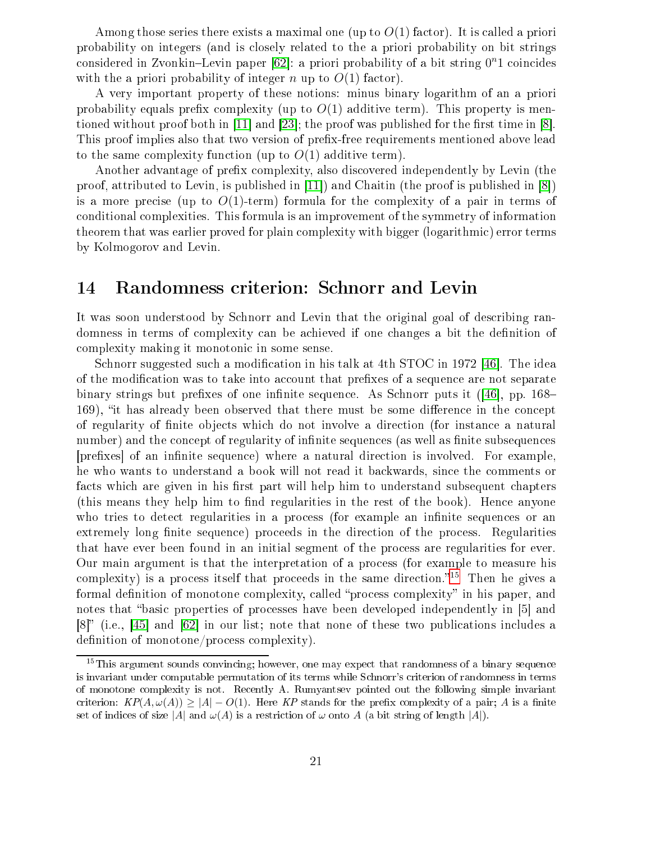Among those series there exists a maximal one (up to  $O(1)$  factor). It is called a priori probability on integers (and is losely related to the a priori probability on bit strings considered in Zvonkin-Levin paper [62]: a priori probability of a bit string  $0<sup>n</sup>1$  coincides with the a priori probability of integer n up to  $O(1)$  factor).

A very important property of these notions: minus binary logarithm of an a priori probability equals prefix complexity (up to  $O(1)$  additive term). This property is mentioned without proof both in [11] and [23]; the proof was published for the first time in [8]. This proof implies also that two version of prefix-free requirements mentioned above lead to the same complexity function (up to  $O(1)$  additive term).

Another advantage of prefix complexity, also discovered independently by Levin (the proof, attributed to Levin, is published in  $[11]$  and Chaitin (the proof is published in  $[8]$ ) is a more precise (up to  $O(1)$ -term) formula for the complexity of a pair in terms of onditional omplexities. This formula is an improvement of the symmetry of information theorem that was earlier proved for plain omplexity with bigger (logarithmi
) error terms by Kolmogorov and Levin.

## 14 Randomness riterion: S
hnorr and Levin

It was soon understood by Schnorr and Levin that the original goal of describing randomness in terms of complexity can be achieved if one changes a bit the definition of omplexity making it monotoni in some sense.

Schnorr suggested such a modification in his talk at 4th STOC in 1972 [46]. The idea of the modification was to take into account that prefixes of a sequence are not separate binary strings but prefixes of one infinite sequence. As Schnorr puts it  $(46)$ , pp. 168– 169), "it has already been observed that there must be some difference in the concept of regularity of finite objects which do not involve a direction (for instance a natural number) and the concept of regularity of infinite sequences (as well as finite subsequences [prefixes] of an infinite sequence) where a natural direction is involved. For example, he who wants to understand a book will not read it backwards, since the comments or facts which are given in his first part will help him to understand subsequent chapters (this means they help him to find regularities in the rest of the book). Hence anyone who tries to detect regularities in a process (for example an infinite sequences or an extremely long finite sequence) proceeds in the direction of the process. Regularities that have ever been found in an initial segment of the pro
ess are regularities for ever. Our main argument is that the interpretation of a pro
ess (for example to measure his complexity) is a process itself that proceeds in the same direction."<sup>[15](#page-20-0)</sup> Then he gives a formal definition of monotone complexity, called "process complexity" in his paper, and notes that "basic properties of processes have been developed independently in [5] and  $[8]$ " (i.e., [45] and [62] in our list; note that none of these two publications includes a definition of monotone/process complexity).

<span id="page-20-0"></span><sup>&</sup>lt;sup>15</sup>This argument sounds convincing; however, one may expect that randomness of a binary sequence is invariant under computable permutation of its terms while Schnorr's criterion of randomness in terms of monotone omplexity is not. Re
ently A. Rumyantsev pointed out the following simple invariant criterion:  $KP(A, \omega(A)) \geq |A| - O(1)$ . Here KP stands for the prefix complexity of a pair; A is a finite set of indices of size |A| and  $\omega(A)$  is a restriction of  $\omega$  onto A (a bit string of length |A|).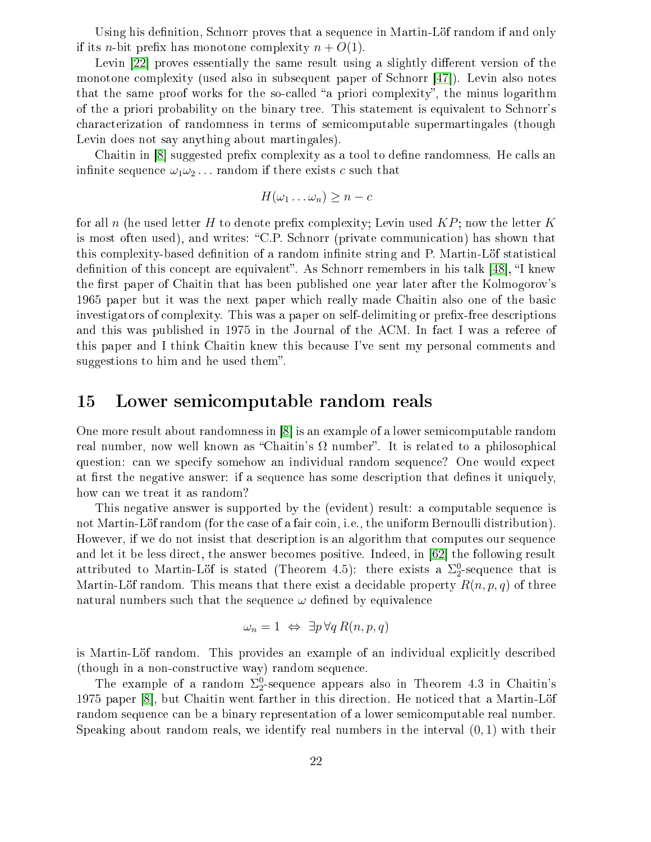Using his definition, Schnorr proves that a sequence in Martin-Löf random if and only if its *n*-bit prefix has monotone complexity  $n + O(1)$ .

Levin  $[22]$  proves essentially the same result using a slightly different version of the monotone complexity (used also in subsequent paper of Schnorr  $[47]$ ). Levin also notes that the same proof works for the so-called "a priori complexity", the minus logarithm of the a priori probability on the binary tree. This statement is equivalent to S
hnorr's hara
terization of randomness in terms of semi
omputable supermartingales (though Levin does not say anything about martingales).

Chaitin in  $|8|$  suggested prefix complexity as a tool to define randomness. He calls an infinite sequence  $\omega_1 \omega_2 \ldots$  random if there exists c such that

$$
H(\omega_1 \ldots \omega_n) \geq n - c
$$

for all n (he used letter H to denote prefix complexity; Levin used  $KP$ ; now the letter K is most often used), and writes: "C.P. Schnorr (private communication) has shown that this complexity-based definition of a random infinite string and P. Martin-Löf statistical definition of this concept are equivalent". As Schnorr remembers in his talk [48], "I knew the first paper of Chaitin that has been published one year later after the Kolmogorov's 1965 paper but it was the next paper whi
h really made Chaitin also one of the basi investigators of complexity. This was a paper on self-delimiting or prefix-free descriptions and this was published in 1975 in the Journal of the ACM. In fact I was a referee of this paper and I think Chaitin knew this be
ause I've sent my personal omments and suggestions to him and he used them".

## 15 Lower semi
omputable random reals

One more result about randomness in  $[8]$  is an example of a lower semicomputable random real number, now well known as "Chaitin's  $\Omega$  number". It is related to a philosophical question: can we specify somehow an individual random sequence? One would expect at first the negative answer: if a sequence has some description that defines it uniquely. how can we treat it as random?

This negative answer is supported by the (evident) result: a omputable sequen
e is not Martin-Löf random (for the case of a fair coin, i.e., the uniform Bernoulli distribution). However, if we do not insist that description is an algorithm that computes our sequence and let it be less direct, the answer becomes positive. Indeed, in  $[62]$  the following result attributed to Martin-Löf is stated (Theorem 4.5): there exists a  $\Sigma^0_2$ -sequence that is Martin-Löf random. This means that there exist a decidable property  $R(n, p, q)$  of three natural numbers such that the sequence  $\omega$  defined by equivalence

$$
\omega_n = 1 \Leftrightarrow \exists p \,\forall q \, R(n, p, q)
$$

is Martin-Löf random. This provides an example of an individual explicitly described (though in a nononstru
tive way) random sequen
e.

The example of a random  $\Sigma^0_2$ -sequence appears also in Theorem 4.3 in Chaitin's 1975 paper [8], but Chaitin went farther in this direction. He noticed that a Martin-Löf random sequence can be a binary representation of a lower semicomputable real number. Speaking about random reals, we identify real numbers in the interval  $(0, 1)$  with their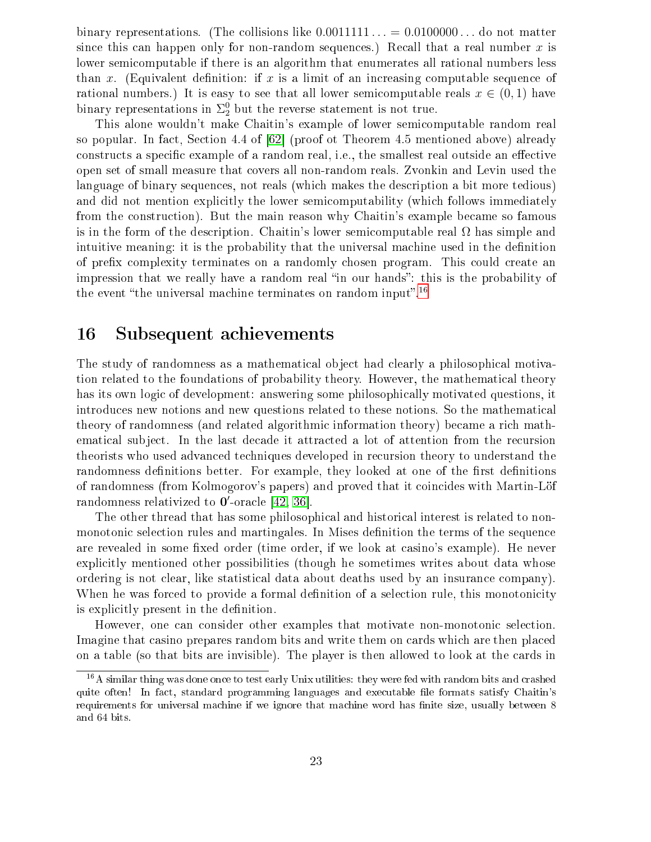binary representations. (The collisions like  $0.0011111... = 0.0100000...$  do not matter since this can happen only for non-random sequences.) Recall that a real number  $x$  is lower semi
omputable if there is an algorithm that enumerates all rational numbers less than x. (Equivalent definition: if x is a limit of an increasing computable sequence of rational numbers.) It is easy to see that all lower semicomputable reals  $x \in (0,1)$  have binary representations in  $\Sigma^0_2$  but the reverse statement is not true.

This alone wouldn't make Chaitin's example of lower semicomputable random real so popular. In fact, Section 4.4 of [62] (proof ot Theorem 4.5 mentioned above) already constructs a specific example of a random real, *i.e.*, the smallest real outside an effective open set of small measure that overs all non-random reals. Zvonkin and Levin used the language of binary sequen
es, not reals (whi
h makes the des
ription a bit more tedious) and did not mention explicitly the lower semicomputability (which follows immediately from the construction). But the main reason why Chaitin's example became so famous is in the form of the description. Chaitin's lower semicomputable real  $\Omega$  has simple and intuitive meaning: it is the probability that the universal machine used in the definition of prefix complexity terminates on a randomly chosen program. This could create an impression that we really have a random real "in our hands": this is the probability of the event "the universal machine terminates on random input".<sup>16</sup>

## 16 Subsequent a
hievements

The study of randomness as a mathematical object had clearly a philosophical motivation related to the foundations of probability theory. However, the mathemati
al theory has its own logic of development: answering some philosophically motivated questions, it introdu
es new notions and new questions related to these notions. So the mathemati
al theory of randomness (and related algorithmic information theory) became a rich mathematical subject. In the last decade it attracted a lot of attention from the recursion theorists who used advan
ed te
hniques developed in re
ursion theory to understand the randomness definitions better. For example, they looked at one of the first definitions of randomness (from Kolmogorov's papers) and proved that it coincides with Martin-Löf randomness relativized to  $0'$ -oracle [\[42,](#page-33-11) 36].

The other thread that has some philosophical and historical interest is related to nonmonotonic selection rules and martingales. In Mises definition the terms of the sequence are revealed in some fixed order (time order, if we look at casino's example). He never explicitly mentioned other possibilities (though he sometimes writes about data whose ordering is not lear, like statisti
al data about deaths used by an insuran
e ompany). When he was forced to provide a formal definition of a selection rule, this monotonicity is explicitly present in the definition.

However, one can consider other examples that motivate non-monotonic selection. Imagine that casino prepares random bits and write them on cards which are then placed on a table (so that bits are invisible). The player is then allowed to look at the ards in

<span id="page-22-0"></span> $16A$  similar thing was done once to test early Unix utilities: they were fed with random bits and crashed quite often! In fact, standard programming languages and executable file formats satisfy Chaitin's requirements for universal machine if we ignore that machine word has finite size, usually between 8 and 64 bits.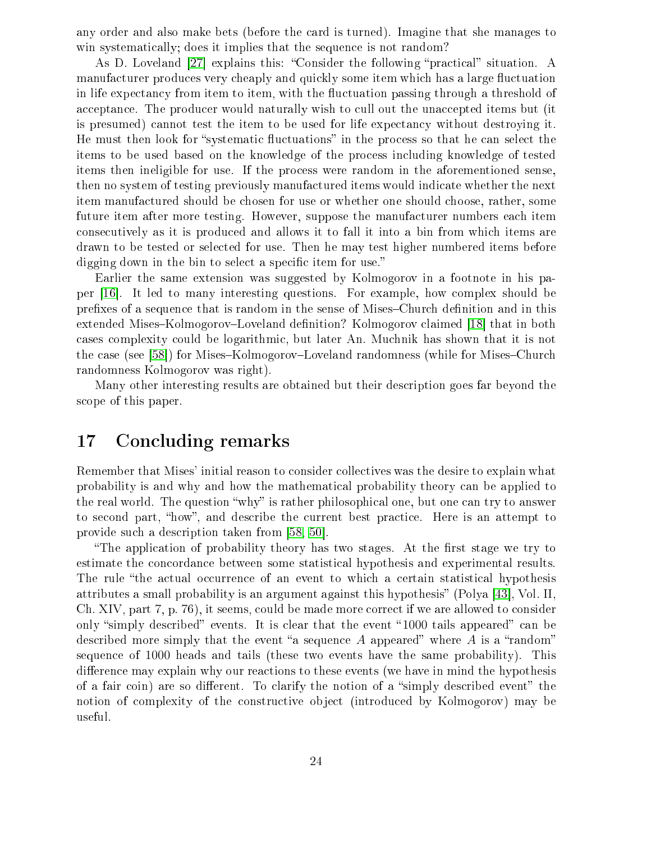any order and also make bets (before the ard is turned). Imagine that she manages to win systematically; does it implies that the sequence is not random?

As D. Loveland [27] explains this: "Consider the following "practical" situation. A manufacturer produces very cheaply and quickly some item which has a large fluctuation in life expectancy from item to item, with the fluctuation passing through a threshold of acceptance. The producer would naturally wish to cull out the unaccepted items but (it is presumed) cannot test the item to be used for life expectancy without destroying it. He must then look for "systematic fluctuations" in the process so that he can select the items to be used based on the knowledge of the pro
ess in
luding knowledge of tested items then ineligible for use. If the pro
ess were random in the aforementioned sense, then no system of testing previously manufactured items would indicate whether the next item manufa
tured should be hosen for use or whether one should hoose, rather, some future item after more testing. However, suppose the manufacturer numbers each item onse
utively as it is produ
ed and allows it to fall it into a bin from whi
h items are drawn to be tested or sele
ted for use. Then he may test higher numbered items before digging down in the bin to select a specific item for use."

Earlier the same extension was suggested by Kolmogorov in a footnote in his paper  $[16]$ . It led to many interesting questions. For example, how complex should be prefixes of a sequence that is random in the sense of Mises–Church definition and in this extended Mises-Kolmogorov-Loveland definition? Kolmogorov claimed [18] that in both ases omplexity ould be logarithmi
, but later An. Mu
hnik has shown that it is not the case (see [58]) for Mises–Kolmogorov–Loveland randomness (while for Mises–Church randomness Kolmogorov was right).

Many other interesting results are obtained but their des
ription goes far beyond the s
ope of this paper.

## 17 Con
luding remarks

Remember that Mises' initial reason to consider collectives was the desire to explain what probability is and why and how the mathemati
al probability theory an be applied to the real world. The question "why" is rather philosophical one, but one can try to answer to second part, "how", and describe the current best practice. Here is an attempt to provide such a description taken from [\[58,](#page-34-10) 50].

"The application of probability theory has two stages. At the first stage we try to estimate the on
ordan
e between some statisti
al hypothesis and experimental results. The rule "the actual occurrence of an event to which a certain statistical hypothesis attributes a small probability is an argument against this hypothesis" (Polya [43], Vol. II, Ch. XIV, part 7, p. 76), it seems, could be made more correct if we are allowed to consider only "simply described" events. It is clear that the event "1000 tails appeared" can be described more simply that the event "a sequence A appeared" where A is a "random" sequen
e of 1000 heads and tails (these two events have the same probability). This difference may explain why our reactions to these events (we have in mind the hypothesis of a fair coin) are so different. To clarify the notion of a "simply described event" the notion of complexity of the constructive object (introduced by Kolmogorov) may be useful.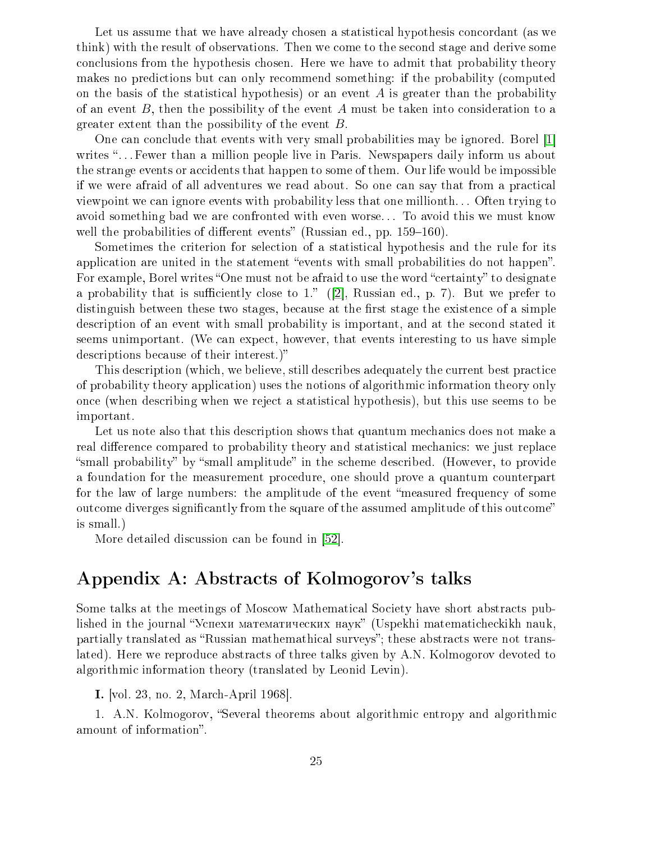Let us assume that we have already chosen a statistical hypothesis concordant (as we think) with the result of observations. Then we ome to the se
ond stage and derive some on
lusions from the hypothesis hosen. Here we have to admit that probability theory makes no predi
tions but an only re
ommend something: if the probability (
omputed on the basis of the statistical hypothesis) or an event  $A$  is greater than the probability of an event  $B$ , then the possibility of the event  $A$  must be taken into consideration to a greater extent than the possibility of the event  $B$ .

One can conclude that events with very small probabilities may be ignored. Borel [1] writes "... Fewer than a million people live in Paris. Newspapers daily inform us about the strange events or accidents that happen to some of them. Our life would be impossible if we were afraid of all adventures we read about. So one can say that from a practical viewpoint we can ignore events with probability less that one millionth... Often trying to avoid something bad we are onfronted with even worse. . . To avoid this we must know well the probabilities of different events" (Russian ed., pp.  $159-160$ ).

Sometimes the criterion for selection of a statistical hypothesis and the rule for its application are united in the statement "events with small probabilities do not happen". For example, Borel writes "One must not be afraid to use the word "certainty" to designate a probability that is sufficiently close to 1." ([2], Russian ed., p. 7). But we prefer to distinguish between these two stages, because at the first stage the existence of a simple description of an event with small probability is important, and at the second stated it seems unimportant. (We an expe
t, however, that events interesting to us have simple descriptions because of their interest.)"

This description (which, we believe, still describes adequately the current best practice of probability theory application) uses the notions of algorithmic information theory only on
e (when des
ribing when we reje
t a statisti
al hypothesis), but this use seems to be important.

Let us note also that this description shows that quantum mechanics does not make a real difference compared to probability theory and statistical mechanics: we just replace "small probability" by "small amplitude" in the scheme described. (However, to provide a foundation for the measurement procedure, one should prove a quantum counterpart for the law of large numbers: the amplitude of the event "measured frequency of some outcome diverges significantly from the square of the assumed amplitude of this outcome" is small.)

More detailed discussion can be found in  $[52]$ .

## Appendix A: Abstracts of Kolmogorov's talks

Some talks at the meetings of Moscow Mathematical Society have short abstracts published in the journal "Успехи математических наук" (Uspekhi matematicheckikh nauk, partially translated as "Russian mathemathical surveys"; these abstracts were not translated). Here we reproduce abstracts of three talks given by A.N. Kolmogorov devoted to algorithmic information theory (translated by Leonid Levin).

**I.** [vol. 23, no. 2, March-April 1968].

1. A.N. Kolmogorov, "Several theorems about algorithmic entropy and algorithmic amount of information".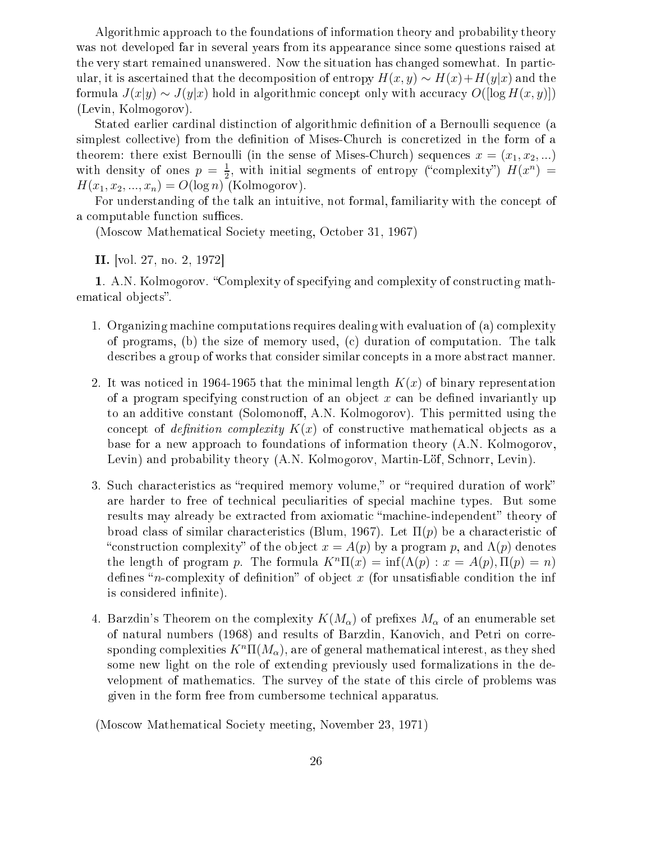Algorithmi approa
h to the foundations of information theory and probability theory was not developed far in several years from its appearan
e sin
e some questions raised at the very start remained unanswered. Now the situation has changed somewhat. In particular, it is ascertained that the decomposition of entropy  $H(x, y) \sim H(x) + H(y|x)$  and the formula  $J(x|y) \sim J(y|x)$  hold in algorithmic concept only with accuracy  $O(\log H(x, y))$ (Levin, Kolmogorov).

Stated earlier cardinal distinction of algorithmic definition of a Bernoulli sequence (a simplest collective) from the definition of Mises-Church is concretized in the form of a theorem: there exist Bernoulli (in the sense of Mises-Church) sequences  $x = (x_1, x_2, ...)$ with density of ones  $p = \frac{1}{2}$  $\frac{1}{2}$ , with initial segments of entropy ("complexity")  $H(x^n) =$  $H(x_1, x_2, ..., x_n) = O(\log n)$  (Kolmogorov).

For understanding of the talk an intuitive, not formal, familiarity with the concept of a computable function suffices.

(Moscow Mathematical Society meeting, October 31, 1967)

II.  $[vol. 27, no. 2, 1972]$ 

1. A.N. Kolmogorov. "Complexity of specifying and complexity of constructing mathematical objects".

- 1. Organizing ma
hine omputations requires dealing with evaluation of (a) omplexity of programs, (b) the size of memory used, (
) duration of omputation. The talk describes a group of works that consider similar concepts in a more abstract manner.
- 2. It was noticed in 1964-1965 that the minimal length  $K(x)$  of binary representation of a program specifying construction of an object  $x$  can be defined invariantly up to an additive constant (Solomonoff, A.N. Kolmogorov). This permitted using the concept of *definition complexity*  $K(x)$  of constructive mathematical objects as a base for a new approach to foundations of information theory (A.N. Kolmogorov, Levin) and probability theory (A.N. Kolmogorov, Martin-Löf, Schnorr, Levin).
- 3. Such characteristics as "required memory volume," or "required duration of work" are harder to free of te
hni
al pe
uliarities of spe
ial ma
hine types. But some results may already be extracted from axiomatic "machine-independent" theory of broad class of similar characteristics (Blum, 1967). Let  $\Pi(p)$  be a characteristic of "construction complexity" of the object  $x = A(p)$  by a program p, and  $\Lambda(p)$  denotes the length of program p. The formula  $K^{n}\Pi(x) = \inf(\Lambda(p) : x = A(p), \Pi(p) = n)$ defines "*n*-complexity of definition" of object x (for unsatisfiable condition the inf is considered infinite).
- 4. Barzdin's Theorem on the complexity  $K(M_\alpha)$  of prefixes  $M_\alpha$  of an enumerable set of natural numbers (1968) and results of Barzdin, Kanovi
h, and Petri on orresponding complexities  $K^{n}\Pi(M_{\alpha})$ , are of general mathematical interest, as they shed some new light on the role of extending previously used formalizations in the development of mathematics. The survey of the state of this circle of problems was given in the form free from umbersome te
hni
al apparatus.

(Mos
ow Mathemati
al So
iety meeting, November 23, 1971)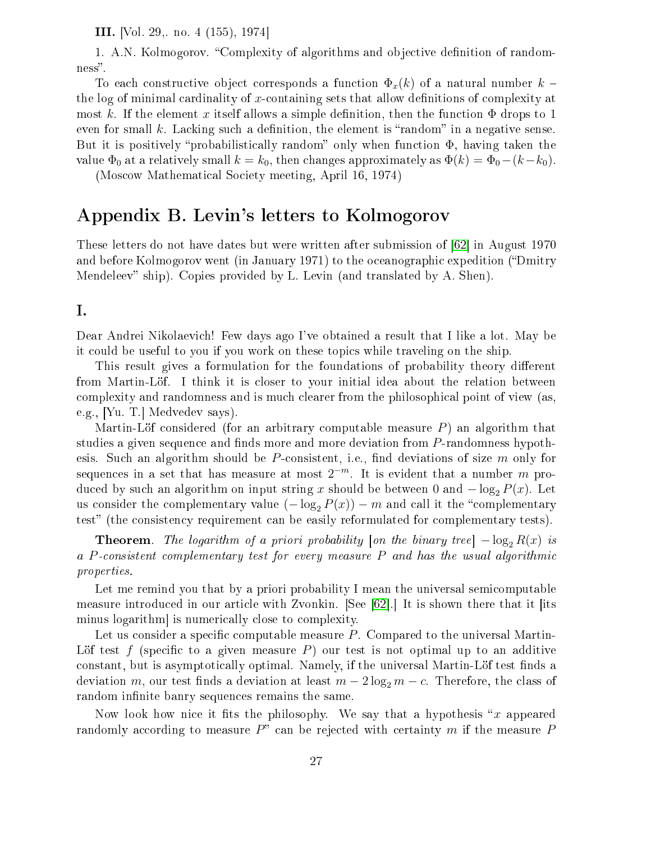III. [Vol. 29,. no. 4  $(155)$ , 1974]

1. A.N. Kolmogorov. "Complexity of algorithms and objective definition of randomness".

To each constructive object corresponds a function  $\Phi_x(k)$  of a natural number  $k$  – the log of minimal cardinality of x-containing sets that allow definitions of complexity at most k. If the element x itself allows a simple definition, then the function  $\Phi$  drops to 1 even for small k. Lacking such a definition, the element is "random" in a negative sense. But it is positively "probabilistically random" only when function  $\Phi$ , having taken the value  $\Phi_0$  at a relatively small  $k = k_0$ , then changes approximately as  $\Phi(k) = \Phi_0 - (k - k_0)$ .

(Mos
ow Mathemati
al So
iety meeting, April 16, 1974)

# Appendix B. Levin's letters to Kolmogorov

These letters do not have dates but were written after submission of  $[62]$  in August 1970 and before Kolmogorov went (in January 1971) to the oceanographic expedition ("Dmitry") Mendeleev" ship). Copies provided by L. Levin (and translated by A. Shen).

### I.

Dear Andrei Nikolaevich! Few days ago I've obtained a result that I like a lot. May be it ould be useful to you if you work on these topi
s while traveling on the ship.

This result gives a formulation for the foundations of probability theory different from Martin-Löf. I think it is closer to your initial idea about the relation between omplexity and randomness and is mu
h learer from the philosophi
al point of view (as, e.g.,  $|Yu. T.|$  Medvedev says).

Martin-Löf considered (for an arbitrary computable measure  $P$ ) an algorithm that studies a given sequence and finds more and more deviation from P-randomness hypothesis. Such an algorithm should be P-consistent, i.e., find deviations of size  $m$  only for sequences in a set that has measure at most  $2^{-m}$ . It is evident that a number m produced by such an algorithm on input string x should be between 0 and  $-\log_2 P(x)$ . Let us consider the complementary value  $(-\log_2 P(x)) - m$  and call it the "complementary" test" (the consistency requirement can be easily reformulated for complementary tests).

**Theorem.** The logarithm of a priori probability [on the binary tree]  $-\log_2 R(x)$  is a P-consistent complementary test for every measure P and has the usual algorithmic properties.

Let me remind you that by a priori probability I mean the universal semi
omputable measure introduced in our article with Zvonkin. [See  $[62]$ .] It is shown there that it [its minus logarithm is numerically close to complexity.

Let us consider a specific computable measure  $P$ . Compared to the universal Martin-Lot test f (specific to a given measure P) our test is not optimal up to an additive constant, but is asymptotically optimal. Namely, if the universal Martin-Löf test finds a deviation m, our test finds a deviation at least  $m - 2 \log_2 m - c$ . Therefore, the class of random infinite banry sequences remains the same.

Now look how nice it fits the philosophy. We say that a hypothesis " $x$  appeared randomly according to measure  $P^"$  can be rejected with certainty m if the measure  $P$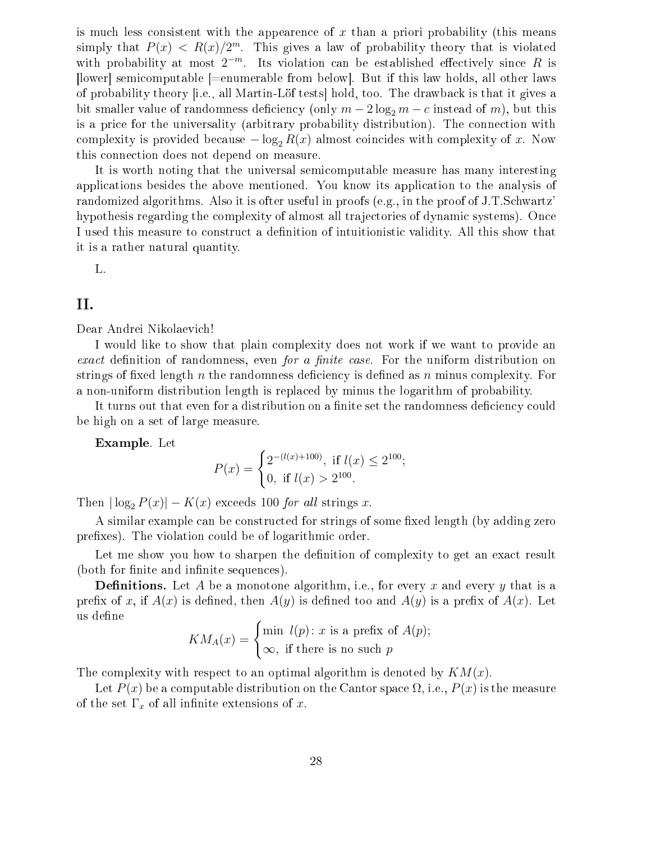is much less consistent with the appearence of  $x$  than a priori probability (this means simply that  $P(x) < R(x)/2^m$ . This gives a law of probability theory that is violated with probability at most  $2^{-m}$ . Its violation can be established effectively since R is [lower] semicomputable  $[=$ enumerable from below]. But if this law holds, all other laws of probability theory [i.e., all Martin-Löf tests] hold, too. The drawback is that it gives a bit smaller value of randomness deficiency (only  $m - 2 \log_2 m - c$  instead of m), but this is a price for the universality (arbitrary probability distribution). The connection with complexity is provided because  $-\log_2 R(x)$  almost coincides with complexity of x. Now this onne
tion does not depend on measure.

It is worth noting that the universal semi
omputable measure has many interesting appli
ations besides the above mentioned. You know its appli
ation to the analysis of randomized algorithms. Also it is ofter useful in proofs (e.g., in the proof of J.T.Schwartz' hypothesis regarding the complexity of almost all trajectories of dynamic systems). Once I used this measure to construct a definition of intuitionistic validity. All this show that it is a rather natural quantity.

L.

### II.

Dear Andrei Nikolaevich!

I would like to show that plain omplexity does not work if we want to provide an *exact* definition of randomness, even *for a finite case*. For the uniform distribution on strings of fixed length n the randomness deficiency is defined as n minus complexity. For a non-uniform distribution length is repla
ed by minus the logarithm of probability.

It turns out that even for a distribution on a finite set the randomness deficiency could be high on a set of large measure.

Example. Let

$$
P(x) = \begin{cases} 2^{-(l(x)+100)}, & \text{if } l(x) \le 2^{100}; \\ 0, & \text{if } l(x) > 2^{100}. \end{cases}
$$

Then  $|\log_2 P(x)| - K(x)$  exceeds 100 for all strings x.

A similar example can be constructed for strings of some fixed length (by adding zero prefixes). The violation could be of logarithmic order.

Let me show you how to sharpen the definition of complexity to get an exact result (both for finite and infinite sequences).

**Definitions.** Let A be a monotone algorithm, i.e., for every x and every y that is a prefix of x, if  $A(x)$  is defined, then  $A(y)$  is defined too and  $A(y)$  is a prefix of  $A(x)$ . Let us define

$$
KM_A(x) = \begin{cases} \min \ l(p) \colon x \text{ is a prefix of } A(p); \\ \infty, \text{ if there is no such } p \end{cases}
$$

The complexity with respect to an optimal algorithm is denoted by  $KM(x)$ .

Let  $P(x)$  be a computable distribution on the Cantor space  $\Omega,$  i.e.,  $P(x)$  is the measure of the set  $\Gamma_x$  of all infinite extensions of x.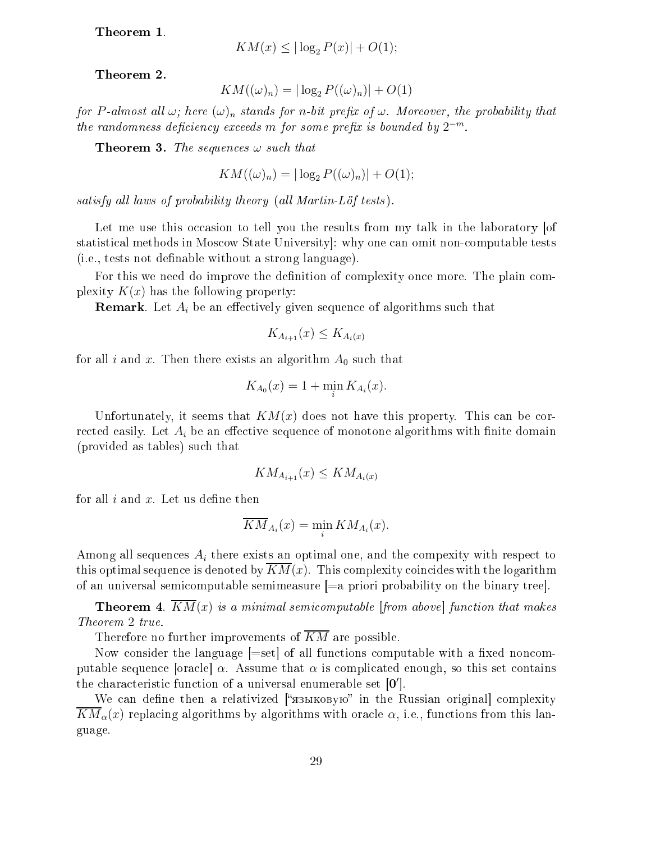Theorem 1.

$$
KM(x) \le |\log_2 P(x)| + O(1);
$$

Theorem 2.

$$
KM((\omega)_n) = |\log_2 P((\omega)_n)| + O(1)
$$

for P-almost all  $\omega$ ; here  $(\omega)_n$  stands for n-bit prefix of  $\omega$ . Moreover, the probability that the randomness deficiency exceeds m for some prefix is bounded by  $2^{-m}$ .

**Theorem 3.** The sequences  $\omega$  such that

$$
KM((\omega)_n) = |\log_2 P((\omega)_n)| + O(1);
$$

satisfy all laws of probability theory (all Martin-Löf tests).

Let me use this occasion to tell you the results from my talk in the laboratory of statistical methods in Moscow State University: why one can omit non-computable tests  $(i.e., tests not definable without a strong language).$ 

For this we need do improve the definition of complexity once more. The plain complexity  $K(x)$  has the following property:

**Remark**. Let  $A_i$  be an effectively given sequence of algorithms such that

$$
K_{A_{i+1}}(x) \le K_{A_i(x)}
$$

for all i and x. Then there exists an algorithm  $A_0$  such that

$$
K_{A_0}(x) = 1 + \min_i K_{A_i}(x).
$$

Unfortunately, it seems that  $KM(x)$  does not have this property. This can be corrected easily. Let  $A_i$  be an effective sequence of monotone algorithms with finite domain (provided as tables) su
h that

$$
KM_{A_{i+1}}(x) \leq KM_{A_i(x)}
$$

for all  $i$  and  $x$ . Let us define then

$$
\overline{KM}_{A_i}(x) = \min_i KM_{A_i}(x).
$$

Among all sequences  $A_i$  there exists an optimal one, and the compexity with respect to this optimal sequence is denoted by  $KM(x)$ . This complexity coincides with the logarithm of an universal semicomputable semimeasure  $[=a$  priori probability on the binary tree.

**Theorem 4.**  $\overline{KM}(x)$  is a minimal semicomputable [from above] function that makes Theorem 2 true.

Therefore no further improvements of  $\overline{KM}$  are possible.

Now consider the language  $[=set]$  of all functions computable with a fixed noncomputable sequence [oracle]  $\alpha$ . Assume that  $\alpha$  is complicated enough, so this set contains the characteristic function of a universal enumerable set  $[0']$ .

We can define then a relativized ["языковую" in the Russian original complexity  $\overline{KM}_{\alpha}(x)$  replacing algorithms by algorithms with oracle  $\alpha$ , i.e., functions from this language.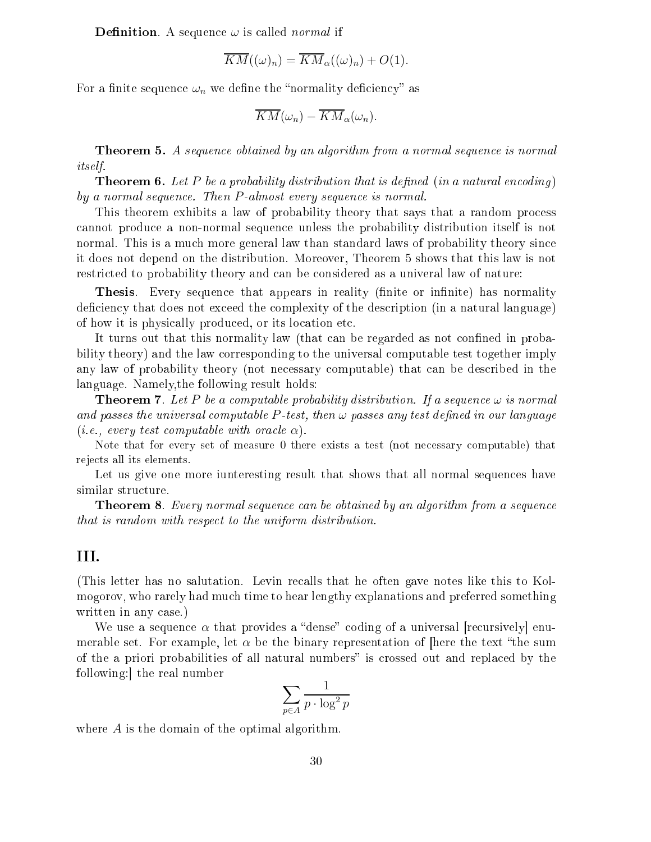**Definition.** A sequence  $\omega$  is called *normal* if

$$
\overline{KM}((\omega)_n)=\overline{KM}_{\alpha}((\omega)_n)+O(1).
$$

For a finite sequence  $\omega_n$  we define the "normality deficiency" as

$$
\overline{KM}(\omega_n)-\overline{KM}_{\alpha}(\omega_n).
$$

**Theorem 5.** A sequence obtained by an algorithm from a normal sequence is normal itself.

**Theorem 6.** Let P be a probability distribution that is defined (in a natural encoding) by a normal sequence. Then P-almost every sequence is normal.

This theorem exhibits a law of probability theory that says that a random pro
ess annot produ
e a non-normal sequen
e unless the probability distribution itself is not normal. This is a mu
h more general law than standard laws of probability theory sin
e it does not depend on the distribution. Moreover, Theorem 5 shows that this law is not restri
ted to probability theory and an be onsidered as a univeral law of nature:

**Thesis**. Every sequence that appears in reality (finite or infinite) has normality deficiency that does not exceed the complexity of the description (in a natural language) of how it is physi
ally produ
ed, or its lo
ation et
.

It turns out that this normality law (that can be regarded as not confined in probability theory) and the law orresponding to the universal omputable test together imply any law of probability theory (not ne
essary omputable) that an be des
ribed in the language. Namely,the following result holds:

**Theorem 7.** Let P be a computable probability distribution. If a sequence  $\omega$  is normal and passes the universal computable  $P$ -test, then  $\omega$  passes any test defined in our language (*i.e.*, every test computable with oracle  $\alpha$ ).

Note that for every set of measure 0 there exists a test (not necessary computable) that reje
ts all its elements.

Let us give one more iunteresting result that shows that all normal sequences have similar structure.

**Theorem 8**. Every normal sequence can be obtained by an algorithm from a sequence that is random with respe
t to the uniform distribution.

#### III.

(This letter has no salutation. Levin re
alls that he often gave notes like this to Kolmogorov, who rarely had much time to hear lengthy explanations and preferred something written in any case.)

We use a sequence  $\alpha$  that provides a "dense" coding of a universal [recursively] enumerable set. For example, let  $\alpha$  be the binary representation of [here the text "the sum of the a priori probabilities of all natural numbers" is crossed out and replaced by the following: the real number

$$
\sum_{p \in A} \frac{1}{p \cdot \log^2 p}
$$

where A is the domain of the optimal algorithm.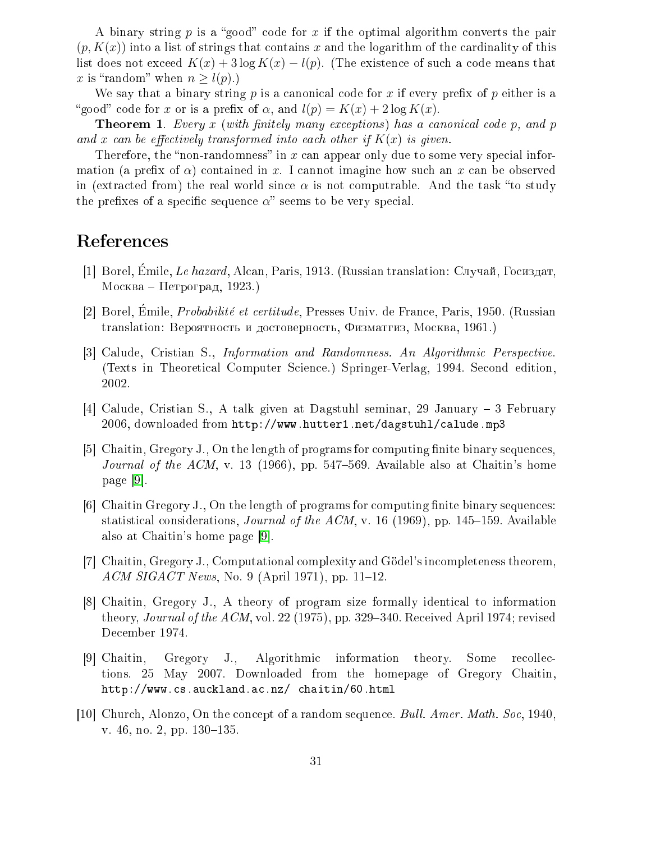A binary string p is a "good" code for x if the optimal algorithm converts the pair  $(p, K(x))$  into a list of strings that contains x and the logarithm of the cardinality of this list does not exceed  $K(x) + 3 \log K(x) - l(p)$ . (The existence of such a code means that x is "random" when  $n \geq l(p)$ .)

We say that a binary string  $p$  is a canonical code for  $x$  if every prefix of  $p$  either is a "good" code for x or is a prefix of  $\alpha$ , and  $l(p) = K(x) + 2 \log K(x)$ .

**Theorem 1**. Every x (with finitely many exceptions) has a canonical code p, and p and x can be effectively transformed into each other if  $K(x)$  is given.

Therefore, the "non-randomness" in x can appear only due to some very special information (a prefix of  $\alpha$ ) contained in x. I cannot imagine how such an x can be observed in (extracted from) the real world since  $\alpha$  is not computrable. And the task "to study the prefixes of a specific sequence  $\alpha$ <sup>"</sup> seems to be very special.

# <span id="page-30-8"></span>Referen
es

- [1] Borel, Emile, Le hazard, Alcan, Paris, 1913. (Russian translation: Случай, Госиздат, Москва – Петроград, 1923.)
- <span id="page-30-9"></span><span id="page-30-7"></span>[2] Borel, Emile, *Probabilité et certitude*, Presses Univ. de France, Paris, 1950. (Russian translation: Вероятность и достоверность, Физматгиз, Москва, 1961.)
- [3] Calude, Cristian S., *Information and Randomness. An Algorithmic Perspective.* (Texts in Theoretical Computer Science.) Springer-Verlag, 1994. Second edition, 2002.
- <span id="page-30-6"></span>[4] Calude, Cristian S., A talk given at Dagstuhl seminar, 29 January  $-3$  February 2006, downloaded from http://www.hutter1.net/dagstuhl/
alude.mp3
- <span id="page-30-2"></span>[5] Chaitin, Gregory J., On the length of programs for computing finite binary sequences, Journal of the ACM, v. 13 (1966), pp. 547–569. Available also at Chaitin's home  $page [9]$ .
- <span id="page-30-3"></span> $[6]$  Chaitin Gregory J., On the length of programs for computing finite binary sequences: statistical considerations, *Journal of the ACM*, v. 16 (1969), pp. 145–159. Available also at Chaitin's home page  $|9|$ .
- <span id="page-30-4"></span>[7] Chaitin, Gregory J., Computational complexity and Gödel's incompleteness theorem, ACM SIGACT News, No. 9 (April 1971), pp. 11–12.
- <span id="page-30-5"></span>[8] Chaitin, Gregory J., A theory of program size formally identical to information theory, *Journal of the ACM*, vol. 22 (1975), pp. 329–340. Received April 1974; revised December 1974.
- <span id="page-30-1"></span>[9] Chaitin, Gregory J., Algorithmic information theory. Some recollections. 25 May 2007. Downloaded from the homepage of Gregory Chaitin, http://www.
s.au
kland.a
.nz/ haitin/60.html
- <span id="page-30-0"></span>[10] Church, Alonzo, On the concept of a random sequence. Bull. Amer. Math. Soc. 1940. v. 46, no. 2, pp. 130-135.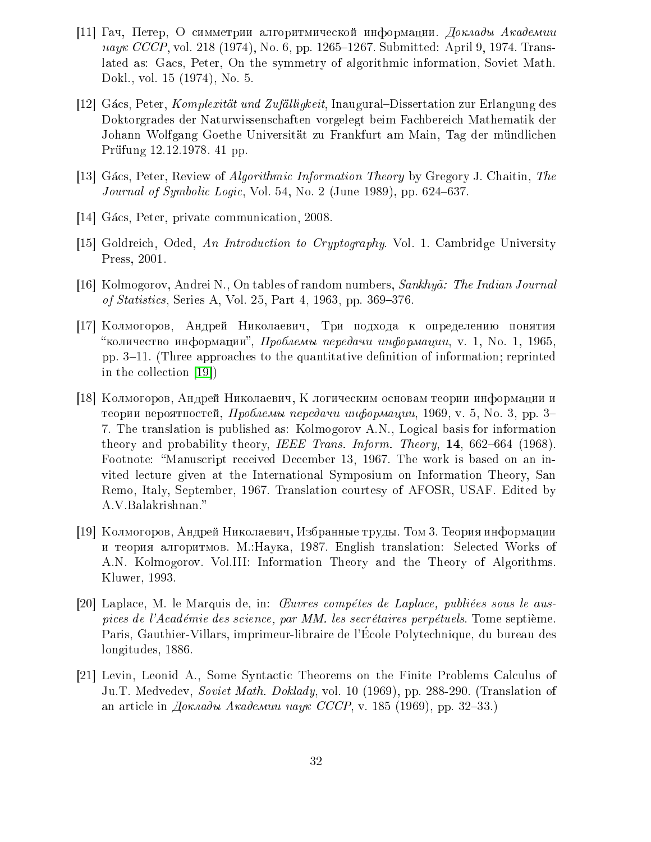- <span id="page-31-8"></span> $[11]$  Гач, Петер, О симметрии алгоритмической информации. Доклады Академии  $nay\kappa$  CCCP, vol. 218 (1974), No. 6, pp. 1265–1267. Submitted: April 9, 1974. Translated as: Ga
s, Peter, On the symmetry of algorithmi information, Soviet Math. Dokl., vol. 15 (1974), No. 5.
- <span id="page-31-1"></span>[12] Gács, Peter, Komplexität und Zufälligkeit, Inaugural-Dissertation zur Erlangung des Doktorgrades der Naturwissens
haften vorgelegt beim Fa
hberei
h Mathematik der Johann Wolfgang Goethe Universität zu Frankfurt am Main, Tag der mündlichen Prufung 12.12.1978. 41 pp.
- <span id="page-31-9"></span><span id="page-31-2"></span>[13] Gács, Peter, Review of *Algorithmic Information Theory* by Gregory J. Chaitin, The Journal of Symbolic Logic, Vol. 54, No. 2 (June 1989), pp.  $624-637$ .
- <span id="page-31-7"></span>[14] Gács, Peter, private communication, 2008.
- <span id="page-31-4"></span>[15] Goldreich, Oded, An Introduction to Cryptography. Vol. 1. Cambridge University Press, 2001.
- <span id="page-31-3"></span>[16] Kolmogorov, Andrei N., On tables of random numbers, Sankhya: The Indian Journal of Statistics, Series A, Vol. 25, Part 4, 1963, pp. 369–376.
- [17] Колмогоров, Андрей Николаевич, Три подхода к определению понятия "количество информации",  $\mathcal{I} p$ облемы передачи информации, v. 1, No. 1, 1965, pp. 3–11. (Three approaches to the quantitative definition of information; reprinted in the collection  $[19]$
- <span id="page-31-5"></span>[18] Колмогоров, Андрей Николаевич, К логическим основам теории информации и теории вероятностей, *Проблемы передачи информации*, 1969, v. 5, No. 3, pp. 3– 7. The translation is published as: Kolmogorov A.N., Logi
al basis for information theory and probability theory, IEEE Trans. Inform. Theory, 14, 662-664 (1968). Footnote: "Manuscript received December 13, 1967. The work is based on an invited le
ture given at the International Symposium on Information Theory, San Remo, Italy, September, 1967. Translation ourtesy of AFOSR, USAF. Edited by A.V.Balakrishnan.
- <span id="page-31-10"></span>[19] Колмогоров, Андрей Николаевич, Избранные труды. Том 3. Теория информации и теория алгоритмов. М.:Наука, 1987. English translation: Selected Works of A.N. Kolmogorov. Vol.III: Information Theory and the Theory of Algorithms. Kluwer, 1993.
- <span id="page-31-0"></span>[20] Laplace, M. le Marquis de, in:  $Euvres$  compétes de Laplace, publiées sous le auspices de l'Académie des science, par MM. les secrétaires perpétuels. Tome septième. Paris, Gauthier-Villars, imprimeur-libraire de l'École Polytechnique, du bureau des longitudes, 1886.
- <span id="page-31-6"></span>[21] Levin, Leonid A., Some Syntactic Theorems on the Finite Problems Calculus of Ju.T. Medvedev, Soviet Math. Doklady, vol. 10 (1969), pp. 288-290. (Translation of an article in  $\Delta$ okaadu Akademuu nayk CCCP, v. 185 (1969), pp. 32–33.)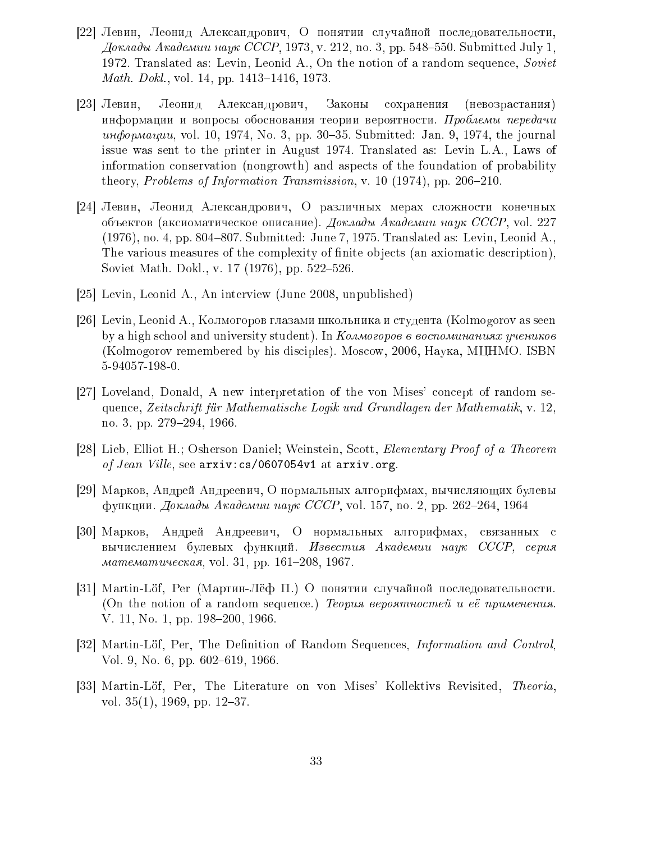- <span id="page-32-10"></span>[22] Левин, Леонид Александрович, О понятии случайной последовательности, Доклады Академии наук СССР, 1973, v. 212, no. 3, pp. 548–550. Submitted July 1, 1972. Translated as: Levin, Leonid A., On the notion of a random sequence, Soviet *Math. Dokl.*, vol. 14, pp. 1413–1416, 1973.
- <span id="page-32-8"></span>[23] Левин, Леонид Александрович, Законы сохранения (невозрастания) информации и вопросы обоснования теории вероятности. Проблемы передачи  $u \mu \phi$ opmayuu, vol. 10, 1974, No. 3, pp. 30–35. Submitted: Jan. 9, 1974, the journal issue was sent to the printer in August 1974. Translated as: Levin L.A., Laws of information onservation (nongrowth) and aspe
ts of the foundation of probability theory, Problems of Information Transmission, v. 10  $(1974)$ , pp. 206-210.
- <span id="page-32-9"></span>[24] Левин, Леонид Александрович, О различных мерах сложности конечных объектов (аксиоматическое описание). Доклады Академии наук СССР, vol. 227  $(1976)$ , no. 4, pp. 804–807. Submitted: June 7, 1975. Translated as: Levin, Leonid A., The various measures of the complexity of finite objects (an axiomatic description), Soviet Math. Dokl., v. 17 (1976), pp. 522–526.
- <span id="page-32-5"></span><span id="page-32-4"></span>[25] Levin, Leonid A., An interview (June 2008, unpublished)
- $[26]$  Levin, Leonid A., Колмогоров глазами школьника и студента (Kolmogorov as seen by a high school and university student). In  $K$ олмогоров в воспоминаниях учеников (Kolmogorov remembered by his disciples). Moscow, 2006, Hayka, MILHMO. ISBN 5-94057-198-0.
- <span id="page-32-11"></span>[27] Loveland, Donald, A new interpretation of the von Mises' concept of random sequence, Zeitschrift für Mathematische Logik und Grundlagen der Mathematik, v. 12. no. 3, pp. 279–294, 1966.
- <span id="page-32-3"></span><span id="page-32-0"></span>[28] Lieb, Elliot H.; Osherson Daniel; Weinstein, Scott, *Elementary Proof of a Theorem* of Jean Ville, see  $arxiv: cs/0607054v1$  at  $arxiv.$ org.
- [29] Марков, Андрей Андреевич, О нормальных алгорифмах, вычисляющих булевы функции. Доклады Академии наук СССР, vol. 157, no. 2, pp. 262–264, 1964
- <span id="page-32-2"></span>[30] Марков, Андрей Андреевич, О нормальных алгорифмах, связанных с вычислением булевых функций. Известия Академии наук СССР, серия  $m$ атематическая, vol. 31, pp. 161–208, 1967.
- <span id="page-32-6"></span> $[31]$  Martin-Löf, Per (Мартин-Лёф П.) О понятии случайной последовательности. (On the notion of a random sequence.) *Теория вероятностей и её применения*. V. 11, No. 1, pp. 198–200, 1966.
- <span id="page-32-7"></span>[32] Martin-Löf, Per, The Definition of Random Sequences, *Information and Control*, Vol. 9, No. 6, pp. 602–619, 1966.
- <span id="page-32-1"></span>[33] Martin-Löf, Per, The Literature on von Mises' Kollektivs Revisited, Theoria, vol.  $35(1)$ , 1969, pp.  $12-37$ .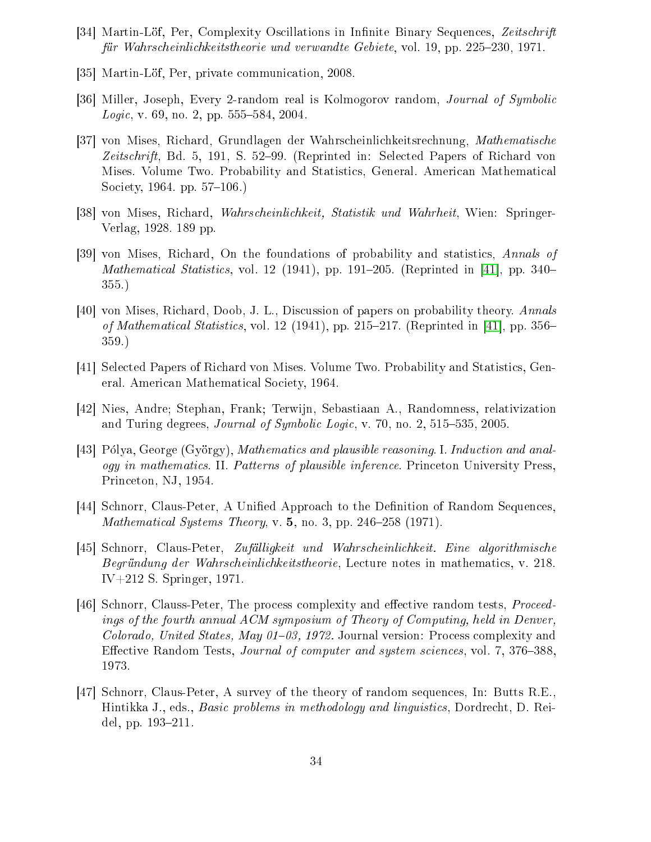- <span id="page-33-6"></span><span id="page-33-5"></span>[34] Martin-Löf, Per, Complexity Oscillations in Infinite Binary Sequences, Zeitschrift für Wahrscheinlichkeitstheorie und verwandte Gebiete, vol. 19, pp. 225–230, 1971.
- <span id="page-33-12"></span>[35] Martin-Löf, Per, private communication, 2008.
- <span id="page-33-0"></span>[36] Miller, Joseph, Every 2-random real is Kolmogorov random, *Journal of Symbolic*  $Logic, v. 69, no. 2, pp. 555-584, 2004.$
- [37] von Mises, Richard, Grundlagen der Wahrscheinlichkeitsrechnung, Mathematische Zeitschrift, Bd. 5, 191, S. 52–99. (Reprinted in: Selected Papers of Richard von Mises. Volume Two. Probability and Statistics, General. American Mathematical Society, 1964. pp. 57-106.)
- <span id="page-33-2"></span><span id="page-33-1"></span>[38] von Mises, Richard, Wahrscheinlichkeit, Statistik und Wahrheit, Wien: Springer-Verlag, 1928. 189 pp.
- [39] von Mises, Richard, On the foundations of probability and statistics, Annals of Mathematical Statistics, vol. 12 (1941), pp. 191–205. (Reprinted in [41], pp. 340– 355.)
- <span id="page-33-3"></span>[40] von Mises, Richard, Doob, J. L., Discussion of papers on probability theory. Annals of Mathematical Statistics, vol. 12 (1941), pp. 215–217. (Reprinted in [41], pp. 356– 359.)
- <span id="page-33-11"></span><span id="page-33-4"></span>[41] Selected Papers of Richard von Mises. Volume Two. Probability and Statistics, General. American Mathematical Society, 1964.
- [42] Nies, Andre; Stephan, Frank; Terwijn, Sebastiaan A., Randomness, relativization and Turing degrees, *Journal of Symbolic Logic*, v. 70, no. 2, 515–535, 2005.
- <span id="page-33-13"></span>[43] Pólya, George (György), Mathematics and plausible reasoning. I. Induction and analogy in mathematics. II. Patterns of plausible inference. Princeton University Press, Prin
eton, NJ, 1954.
- <span id="page-33-8"></span>[44] Schnorr, Claus-Peter, A Unified Approach to the Definition of Random Sequences, Mathematical Systems Theory, v.  $5$ , no. 3, pp. 246–258 (1971).
- <span id="page-33-7"></span>[45] Schnorr, Claus-Peter, Zufälligkeit und Wahrscheinlichkeit. Eine algorithmische Begründung der Wahrscheinlichkeitstheorie, Lecture notes in mathematics, v. 218. IV+212 S. Springer, 1971.
- <span id="page-33-9"></span>[46] Schnorr, Clauss-Peter, The process complexity and effective random tests, *Proceed*ings of the fourth annual ACM symposium of Theory of Computing, held in Denver, *Colorado, United States, May 01–03, 1972.* Journal version: Process complexity and Effective Random Tests, Journal of computer and system sciences, vol. 7, 376–388. 1973.
- <span id="page-33-10"></span>[47] Schnorr, Claus-Peter, A survey of the theory of random sequences, In: Butts R.E., Hintikka J., eds., *Basic problems in methodology and linguistics*, Dordrecht, D. Reidel, pp. 193–211.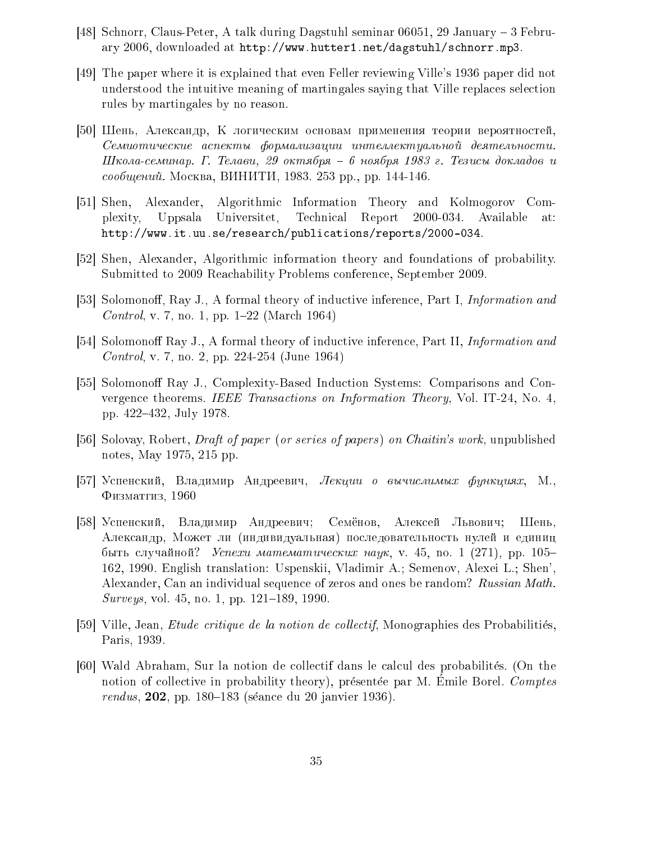- <span id="page-34-8"></span><span id="page-34-2"></span>[48] Schnorr, Claus-Peter, A talk during Dagstuhl seminar  $06051$ , 29 January – 3 February 2006, downloaded at http://www.hutter1.net/dagstuhl/s
hnorr.mp3.
- [49] The paper where it is explained that even Feller reviewing Ville's 1936 paper did not understood the intuitive meaning of martingales saying that Ville repla
es sele
tion rules by martingales by no reason.
- <span id="page-34-11"></span> $[50]$  Шень, Александр, К логическим основам применения теории вероятностей, Семиотические аспекты формализации интеллектуальной деятельности. Школа-семинар. Г. Телави, 29 октября – 6 ноября 1983 г. Тезисы докладов и  $coo6$ щений. Москва, ВИНИТИ, 1983. 253 pp., pp. 144-146.
- <span id="page-34-5"></span>[51] Shen, Alexander, Algorithmic Information Theory and Kolmogorov Complexity, Uppsala Universitet, Te
hni
al Report 2000-034. Available at: http://www.it.uu.se/resear
h/publi
ations/reports/2000-034.
- <span id="page-34-12"></span><span id="page-34-3"></span>[52] Shen, Alexander, Algorithmic information theory and foundations of probability. Submitted to 2009 Reachability Problems conference, September 2009.
- <span id="page-34-4"></span>[53] Solomonoff, Ray J., A formal theory of inductive inference, Part I, *Information and Control, v.* 7, no. 1, pp.  $1-22$  (March 1964)
- [54] Solomonoff Ray J., A formal theory of inductive inference, Part II, *Information and* Control, v. 7, no. 2, pp. 224-254 (June 1964)
- <span id="page-34-6"></span>[55] Solomonoff Ray J., Complexity-Based Induction Systems: Comparisons and Convergence theorems. IEEE Transactions on Information Theory, Vol. IT-24, No. 4, pp. 422432, July 1978.
- <span id="page-34-9"></span><span id="page-34-7"></span>[56] Solovay, Robert, *Draft of paper (or series of papers) on Chaitin's work*, unpublished notes, May 1975, 215 pp.
- <span id="page-34-10"></span>[57] Успенский, Владимир Андреевич, *Лекции о вычислимых функциях*, M.. Физматгиз, 1960
- [58] Успенский, Владимир Андреевич; Семёнов, Алексей Львович; Шень, Александр, Может ли (индивидуальная) последовательность нулей и единиц быть случайной? *Успехи математических наук*, v. 45, no. 1 (271), pp. 105-162, 1990. English translation: Uspenskii, Vladimir A.; Semenov, Alexei L.; Shen', Alexander, Can an individual sequen
e of zeros and ones be random? Russian Math. Surveys, vol. 45, no. 1, pp.  $121-189$ , 1990.
- <span id="page-34-1"></span> $[59]$  Ville, Jean, *Etude critique de la notion de collectif*, Monographies des Probabilitiés, Paris, 1939.
- <span id="page-34-0"></span>[60] Wald Abraham, Sur la notion de collectif dans le calcul des probabilités. (On the notion of collective in probability theory), présentée par M. Emile Borel. Comptes  $rends, 202, pp. 180-183$  (séance du 20 janvier 1936).